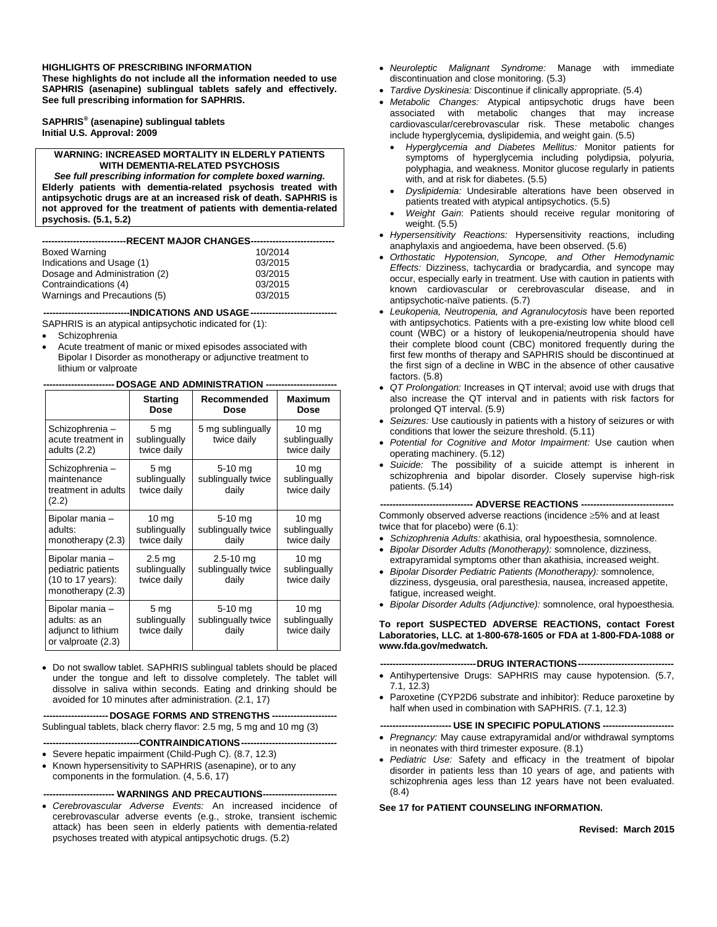#### **HIGHLIGHTS OF PRESCRIBING INFORMATION**

**These highlights do not include all the information needed to use SAPHRIS (asenapine) sublingual tablets safely and effectively. See full prescribing information for SAPHRIS.**

**SAPHRIS® (asenapine) sublingual tablets Initial U.S. Approval: 2009**

#### **WARNING: INCREASED MORTALITY IN ELDERLY PATIENTS WITH DEMENTIA-RELATED PSYCHOSIS**

*See full prescribing information for complete boxed warning.* **Elderly patients with dementia-related psychosis treated with antipsychotic drugs are at an increased risk of death. SAPHRIS is not approved for the treatment of patients with dementia-related psychosis. (5.1, 5.2)**

| ----------------------------RECENT MAJOR CHANGES----------- |         |  |  |  |  |
|-------------------------------------------------------------|---------|--|--|--|--|
|                                                             |         |  |  |  |  |
|                                                             |         |  |  |  |  |
| 03/2015                                                     |         |  |  |  |  |
| 03/2015                                                     |         |  |  |  |  |
| 03/2015                                                     |         |  |  |  |  |
| 03/2015                                                     |         |  |  |  |  |
|                                                             | 10/2014 |  |  |  |  |

**----------------------------INDICATIONS AND USAGE----------------------------**

- SAPHRIS is an atypical antipsychotic indicated for (1):
- **Schizophrenia**
- Acute treatment of manic or mixed episodes associated with Bipolar I Disorder as monotherapy or adjunctive treatment to lithium or valproate

#### **----------------------- DOSAGE AND ADMINISTRATION -----------------------**

|                                                                                 | <b>Starting</b><br><b>Dose</b>                   | Recommended<br>Dose                          | <b>Maximum</b><br>Dose                            |
|---------------------------------------------------------------------------------|--------------------------------------------------|----------------------------------------------|---------------------------------------------------|
| Schizophrenia -<br>acute treatment in<br>adults (2.2)                           | 5 mg<br>sublingually<br>twice daily              | 5 mg sublingually<br>twice daily             | $10 \text{ mg}$<br>sublingually<br>twice daily    |
| Schizophrenia -<br>maintenance<br>treatment in adults<br>(2.2)                  | 5 <sub>mg</sub><br>sublingually<br>twice daily   | $5-10$ mg<br>sublingually twice<br>daily     | $10 \,\mathrm{mg}$<br>sublingually<br>twice daily |
| Bipolar mania -<br>adults:<br>monotherapy (2.3)                                 | 10 <sub>mg</sub><br>sublingually<br>twice daily  | 5-10 mg<br>sublingually twice<br>daily       | 10 <sub>mg</sub><br>sublingually<br>twice daily   |
| Bipolar mania -<br>pediatric patients<br>(10 to 17 years):<br>monotherapy (2.3) | 2.5 <sub>mg</sub><br>sublingually<br>twice daily | $2.5 - 10$ mg<br>sublingually twice<br>daily | $10 \,\mathrm{mg}$<br>sublingually<br>twice daily |
| Bipolar mania -<br>adults: as an<br>adjunct to lithium<br>or valproate (2.3)    | 5 <sub>mg</sub><br>sublingually<br>twice daily   | 5-10 mg<br>sublingually twice<br>daily       | $10 \,\mathrm{mg}$<br>sublingually<br>twice daily |

 Do not swallow tablet. SAPHRIS sublingual tablets should be placed under the tongue and left to dissolve completely. The tablet will dissolve in saliva within seconds. Eating and drinking should be avoided for 10 minutes after administration. (2.1, 17)

#### **--------------------- DOSAGE FORMS AND STRENGTHS ---------------------**

Sublingual tablets, black cherry flavor: 2.5 mg, 5 mg and 10 mg (3)

- **-------------------------------CONTRAINDICATIONS-------------------------------** • Severe hepatic impairment (Child-Pugh C). (8.7, 12.3)
- Known hypersensitivity to SAPHRIS (asenapine), or to any
- components in the formulation. (4, 5.6, 17)

#### **----------------------- WARNINGS AND PRECAUTIONS------------------------**

 *Cerebrovascular Adverse Events:* An increased incidence of cerebrovascular adverse events (e.g., stroke, transient ischemic attack) has been seen in elderly patients with dementia-related psychoses treated with atypical antipsychotic drugs. (5.2)

- *Neuroleptic Malignant Syndrome:* Manage with immediate discontinuation and close monitoring. (5.3)
- *Tardive Dyskinesia:* Discontinue if clinically appropriate. (5.4)
- *Metabolic Changes:* Atypical antipsychotic drugs have been associated with metabolic changes that may increase cardiovascular/cerebrovascular risk. These metabolic changes include hyperglycemia, dyslipidemia, and weight gain. (5.5)
	- *Hyperglycemia and Diabetes Mellitus:* Monitor patients for symptoms of hyperglycemia including polydipsia, polyuria, polyphagia, and weakness. Monitor glucose regularly in patients with, and at risk for diabetes. (5.5)
	- *Dyslipidemia:* Undesirable alterations have been observed in patients treated with atypical antipsychotics. (5.5)
	- *Weight Gain*: Patients should receive regular monitoring of weight. (5.5)
- *Hypersensitivity Reactions:* Hypersensitivity reactions, including anaphylaxis and angioedema, have been observed. (5.6)
- *Orthostatic Hypotension, Syncope, and Other Hemodynamic Effects:* Dizziness, tachycardia or bradycardia, and syncope may occur, especially early in treatment. Use with caution in patients with known cardiovascular or cerebrovascular disease, and in antipsychotic-naïve patients. (5.7)
- *Leukopenia, Neutropenia, and Agranulocytosis* have been reported with antipsychotics. Patients with a pre-existing low white blood cell count (WBC) or a history of leukopenia/neutropenia should have their complete blood count (CBC) monitored frequently during the first few months of therapy and SAPHRIS should be discontinued at the first sign of a decline in WBC in the absence of other causative factors. (5.8)
- *QT Prolongation:* Increases in QT interval; avoid use with drugs that also increase the QT interval and in patients with risk factors for prolonged QT interval. (5.9)
- *Seizures:* Use cautiously in patients with a history of seizures or with conditions that lower the seizure threshold. (5.11)
- *Potential for Cognitive and Motor Impairment:* Use caution when operating machinery. (5.12)
- *Suicide:* The possibility of a suicide attempt is inherent in schizophrenia and bipolar disorder. Closely supervise high-risk patients. (5.14)

**------------------------------ ADVERSE REACTIONS ------------------------------**

Commonly observed adverse reactions (incidence  $\geq$  5% and at least twice that for placebo) were (6.1):

- *Schizophrenia Adults:* akathisia, oral hypoesthesia, somnolence.
- *Bipolar Disorder Adults (Monotherapy):* somnolence, dizziness, extrapyramidal symptoms other than akathisia, increased weight.
- *Bipolar Disorder Pediatric Patients (Monotherapy):* somnolence, dizziness, dysgeusia, oral paresthesia, nausea, increased appetite, fatigue, increased weight.
- *Bipolar Disorder Adults (Adjunctive):* somnolence, oral hypoesthesia.

#### **To report SUSPECTED ADVERSE REACTIONS, contact Forest Laboratories, LLC. at 1-800-678-1605 or FDA at 1-800-FDA-1088 or [www.fda.gov/medwatch](http://www.fda.gov/medwatch)***.*

#### **-------------------------------DRUG INTERACTIONS-------------------------------**

- Antihypertensive Drugs: SAPHRIS may cause hypotension. (5.7, 7.1, 12.3)
- Paroxetine (CYP2D6 substrate and inhibitor): Reduce paroxetine by half when used in combination with SAPHRIS. (7.1, 12.3)

#### **----------------------- USE IN SPECIFIC POPULATIONS -----------------------**

- *Pregnancy:* May cause extrapyramidal and/or withdrawal symptoms in neonates with third trimester exposure. (8.1)
- *Pediatric Use:* Safety and efficacy in the treatment of bipolar disorder in patients less than 10 years of age, and patients with schizophrenia ages less than 12 years have not been evaluated. (8.4)

#### **See 17 for PATIENT COUNSELING INFORMATION.**

**Revised: March 2015**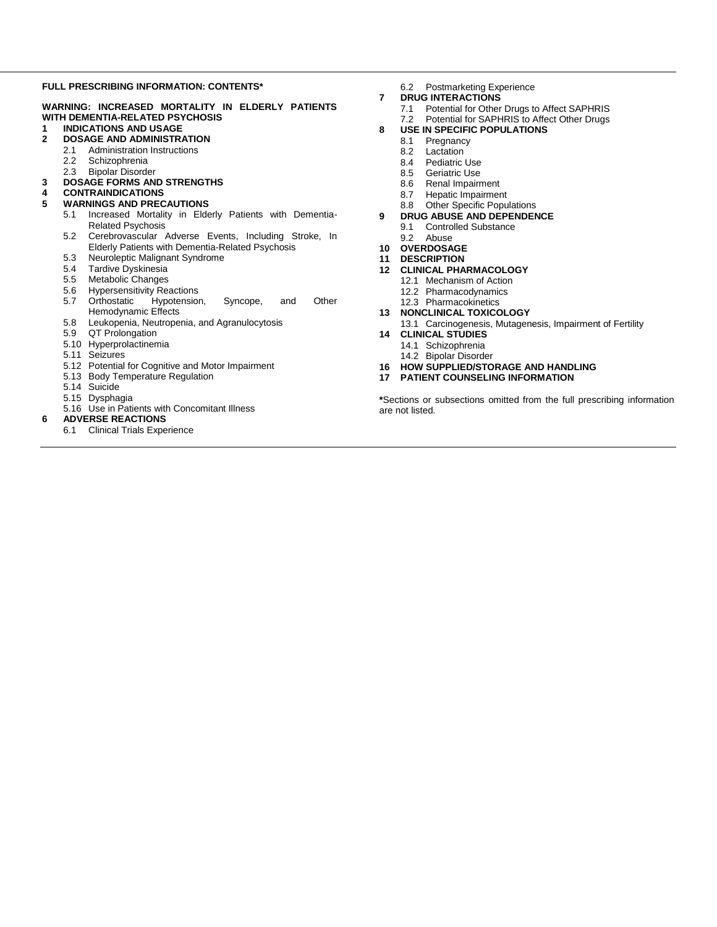#### **FULL PRESCRIBING INFORMATION: CONTENTS\***

#### **WARNING: INCREASED MORTALITY IN ELDERLY PATIENTS WITH DEMENTIA-RELATED PSYCHOSIS**

#### **1 INDICATIONS AND USAGE**

#### **2 DOSAGE AND ADMINISTRATION**

- 2.1 Administration Instructions
- 2.2 Schizophrenia
- 2.3 Bipolar Disorder

#### **3 DOSAGE FORMS AND STRENGTHS**

**4 CONTRAINDICATIONS**

#### **5 WARNINGS AND PRECAUTIONS**

- 5.1 Increased Mortality in Elderly Patients with Dementia-Related Psychosis
- 5.2 Cerebrovascular Adverse Events, Including Stroke, In Elderly Patients with Dementia-Related Psychosis
- 5.3 Neuroleptic Malignant Syndrome
- 5.4 Tardive Dyskinesia
- 
- 5.5 Metabolic Changes<br>5.6 Hypersensitivity Rea
- Hypersensitivity Reactions<br>Orthostatic Hypotension 5.7 Orthostatic Hypotension, Syncope, and Other Hemodynamic Effects
- 5.8 Leukopenia, Neutropenia, and Agranulocytosis
- 5.9 QT Prolongation
- 5.10 Hyperprolactinemia
- 5.11 Seizures
- 5.12 Potential for Cognitive and Motor Impairment
- 5.13 Body Temperature Regulation
- 5.14 Suicide
- 5.15 Dysphagia
- 5.16 Use in Patients with Concomitant Illness
- **6 ADVERSE REACTIONS**
	- 6.1 Clinical Trials Experience

6.2 Postmarketing Experience

#### **7 DRUG INTERACTIONS**

- 7.1 Potential for Other Drugs to Affect SAPHRIS
- 7.2 Potential for SAPHRIS to Affect Other Drugs
- **8 USE IN SPECIFIC POPULATIONS**
	- 8.1 Pregnancy
		- 8.2 Lactation
		- 8.4 Pediatric Use<br>8.5 Geriatric Use
		- **Geriatric Use**
		- 8.6 Renal Impairment
		- 8.7 Hepatic Impairment<br>8.8 Other Specific Popu
	- **Other Specific Populations**
- **9 DRUG ABUSE AND DEPENDENCE**
	- 9.1 Controlled Substance<br>9.2 Abuse
- Abuse
- **10 OVERDOSAGE**
- **11 DESCRIPTION**
- **12 CLINICAL PHARMACOLOGY**
	- 12.1 Mechanism of Action
	- 12.2 Pharmacodynamics
	- 12.3 Pharmacokinetics
- **13 NONCLINICAL TOXICOLOGY**
- 13.1 Carcinogenesis, Mutagenesis, Impairment of Fertility **14 CLINICAL STUDIES**
	- 14.1 Schizophrenia
	- 14.2 Bipolar Disorder
- **16 HOW SUPPLIED/STORAGE AND HANDLING**
- **17 PATIENT COUNSELING INFORMATION**

**\***Sections or subsections omitted from the full prescribing information are not listed.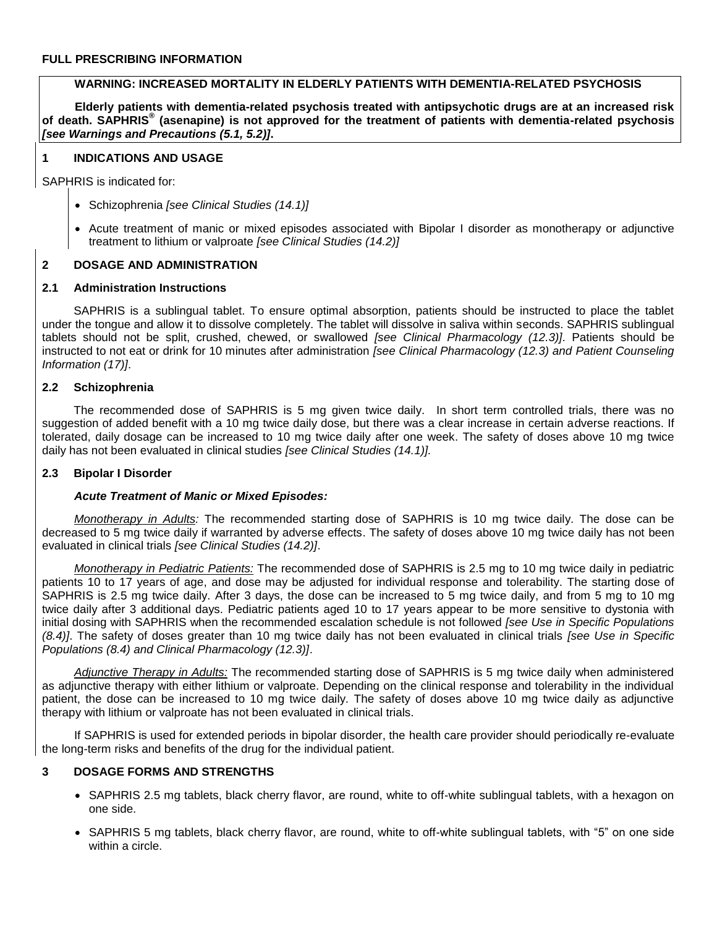## **WARNING: INCREASED MORTALITY IN ELDERLY PATIENTS WITH DEMENTIA-RELATED PSYCHOSIS**

**Elderly patients with dementia-related psychosis treated with antipsychotic drugs are at an increased risk of death. SAPHRIS® (asenapine) is not approved for the treatment of patients with dementia-related psychosis**  *[see Warnings and Precautions (5.1, 5.2)]***.**

## **1 INDICATIONS AND USAGE**

SAPHRIS is indicated for:

- Schizophrenia *[see Clinical Studies (14.1)]*
- Acute treatment of manic or mixed episodes associated with Bipolar I disorder as monotherapy or adjunctive treatment to lithium or valproate *[see Clinical Studies (14.2)]*

## **2 DOSAGE AND ADMINISTRATION**

## **2.1 Administration Instructions**

SAPHRIS is a sublingual tablet. To ensure optimal absorption, patients should be instructed to place the tablet under the tongue and allow it to dissolve completely. The tablet will dissolve in saliva within seconds. SAPHRIS sublingual tablets should not be split, crushed, chewed, or swallowed *[see Clinical Pharmacology (12.3)]*. Patients should be instructed to not eat or drink for 10 minutes after administration *[see Clinical Pharmacology (12.3) and Patient Counseling Information (17)]*.

## **2.2 Schizophrenia**

The recommended dose of SAPHRIS is 5 mg given twice daily. In short term controlled trials, there was no suggestion of added benefit with a 10 mg twice daily dose, but there was a clear increase in certain adverse reactions. If tolerated, daily dosage can be increased to 10 mg twice daily after one week. The safety of doses above 10 mg twice daily has not been evaluated in clinical studies *[see Clinical Studies (14.1)].*

## **2.3 Bipolar I Disorder**

## *Acute Treatment of Manic or Mixed Episodes:*

*Monotherapy in Adults:* The recommended starting dose of SAPHRIS is 10 mg twice daily. The dose can be decreased to 5 mg twice daily if warranted by adverse effects. The safety of doses above 10 mg twice daily has not been evaluated in clinical trials *[see Clinical Studies (14.2)]*.

*Monotherapy in Pediatric Patients:* The recommended dose of SAPHRIS is 2.5 mg to 10 mg twice daily in pediatric patients 10 to 17 years of age, and dose may be adjusted for individual response and tolerability. The starting dose of SAPHRIS is 2.5 mg twice daily. After 3 days, the dose can be increased to 5 mg twice daily, and from 5 mg to 10 mg twice daily after 3 additional days. Pediatric patients aged 10 to 17 years appear to be more sensitive to dystonia with initial dosing with SAPHRIS when the recommended escalation schedule is not followed *[see Use in Specific Populations (8.4)]*. The safety of doses greater than 10 mg twice daily has not been evaluated in clinical trials *[see Use in Specific Populations (8.4) and Clinical Pharmacology (12.3)]*.

*Adjunctive Therapy in Adults:* The recommended starting dose of SAPHRIS is 5 mg twice daily when administered as adjunctive therapy with either lithium or valproate. Depending on the clinical response and tolerability in the individual patient, the dose can be increased to 10 mg twice daily. The safety of doses above 10 mg twice daily as adjunctive therapy with lithium or valproate has not been evaluated in clinical trials.

If SAPHRIS is used for extended periods in bipolar disorder, the health care provider should periodically re-evaluate the long-term risks and benefits of the drug for the individual patient.

## **3 DOSAGE FORMS AND STRENGTHS**

- SAPHRIS 2.5 mg tablets, black cherry flavor, are round, white to off-white sublingual tablets, with a hexagon on one side.
- SAPHRIS 5 mg tablets, black cherry flavor, are round, white to off-white sublingual tablets, with "5" on one side within a circle.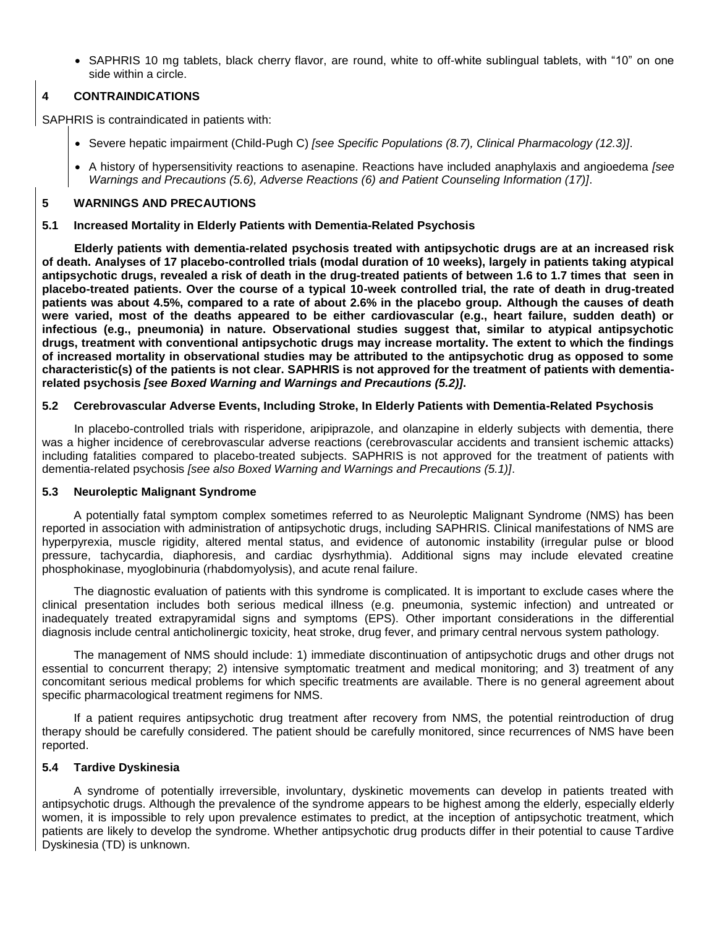• SAPHRIS 10 mg tablets, black cherry flavor, are round, white to off-white sublingual tablets, with "10" on one side within a circle.

## **4 CONTRAINDICATIONS**

SAPHRIS is contraindicated in patients with:

- Severe hepatic impairment (Child-Pugh C) *[see Specific Populations (8.7), Clinical Pharmacology (12.3)]*.
- A history of hypersensitivity reactions to asenapine. Reactions have included anaphylaxis and angioedema *[see Warnings and Precautions (5.6), Adverse Reactions (6) and Patient Counseling Information (17)]*.

## **5 WARNINGS AND PRECAUTIONS**

## **5.1 Increased Mortality in Elderly Patients with Dementia-Related Psychosis**

**Elderly patients with dementia-related psychosis treated with antipsychotic drugs are at an increased risk of death. Analyses of 17 placebo-controlled trials (modal duration of 10 weeks), largely in patients taking atypical antipsychotic drugs, revealed a risk of death in the drug-treated patients of between 1.6 to 1.7 times that seen in placebo-treated patients. Over the course of a typical 10-week controlled trial, the rate of death in drug-treated patients was about 4.5%, compared to a rate of about 2.6% in the placebo group. Although the causes of death were varied, most of the deaths appeared to be either cardiovascular (e.g., heart failure, sudden death) or infectious (e.g., pneumonia) in nature. Observational studies suggest that, similar to atypical antipsychotic drugs, treatment with conventional antipsychotic drugs may increase mortality. The extent to which the findings of increased mortality in observational studies may be attributed to the antipsychotic drug as opposed to some characteristic(s) of the patients is not clear. SAPHRIS is not approved for the treatment of patients with dementiarelated psychosis** *[see Boxed Warning and Warnings and Precautions (5.2)]***.**

## **5.2 Cerebrovascular Adverse Events, Including Stroke, In Elderly Patients with Dementia-Related Psychosis**

In placebo-controlled trials with risperidone, aripiprazole, and olanzapine in elderly subjects with dementia, there was a higher incidence of cerebrovascular adverse reactions (cerebrovascular accidents and transient ischemic attacks) including fatalities compared to placebo-treated subjects. SAPHRIS is not approved for the treatment of patients with dementia-related psychosis *[see also Boxed Warning and Warnings and Precautions (5.1)]*.

### **5.3 Neuroleptic Malignant Syndrome**

A potentially fatal symptom complex sometimes referred to as Neuroleptic Malignant Syndrome (NMS) has been reported in association with administration of antipsychotic drugs, including SAPHRIS. Clinical manifestations of NMS are hyperpyrexia, muscle rigidity, altered mental status, and evidence of autonomic instability (irregular pulse or blood pressure, tachycardia, diaphoresis, and cardiac dysrhythmia). Additional signs may include elevated creatine phosphokinase, myoglobinuria (rhabdomyolysis), and acute renal failure.

The diagnostic evaluation of patients with this syndrome is complicated. It is important to exclude cases where the clinical presentation includes both serious medical illness (e.g. pneumonia, systemic infection) and untreated or inadequately treated extrapyramidal signs and symptoms (EPS). Other important considerations in the differential diagnosis include central anticholinergic toxicity, heat stroke, drug fever, and primary central nervous system pathology.

The management of NMS should include: 1) immediate discontinuation of antipsychotic drugs and other drugs not essential to concurrent therapy; 2) intensive symptomatic treatment and medical monitoring; and 3) treatment of any concomitant serious medical problems for which specific treatments are available. There is no general agreement about specific pharmacological treatment regimens for NMS.

If a patient requires antipsychotic drug treatment after recovery from NMS, the potential reintroduction of drug therapy should be carefully considered. The patient should be carefully monitored, since recurrences of NMS have been reported.

## **5.4 Tardive Dyskinesia**

A syndrome of potentially irreversible, involuntary, dyskinetic movements can develop in patients treated with antipsychotic drugs. Although the prevalence of the syndrome appears to be highest among the elderly, especially elderly women, it is impossible to rely upon prevalence estimates to predict, at the inception of antipsychotic treatment, which patients are likely to develop the syndrome. Whether antipsychotic drug products differ in their potential to cause Tardive Dyskinesia (TD) is unknown.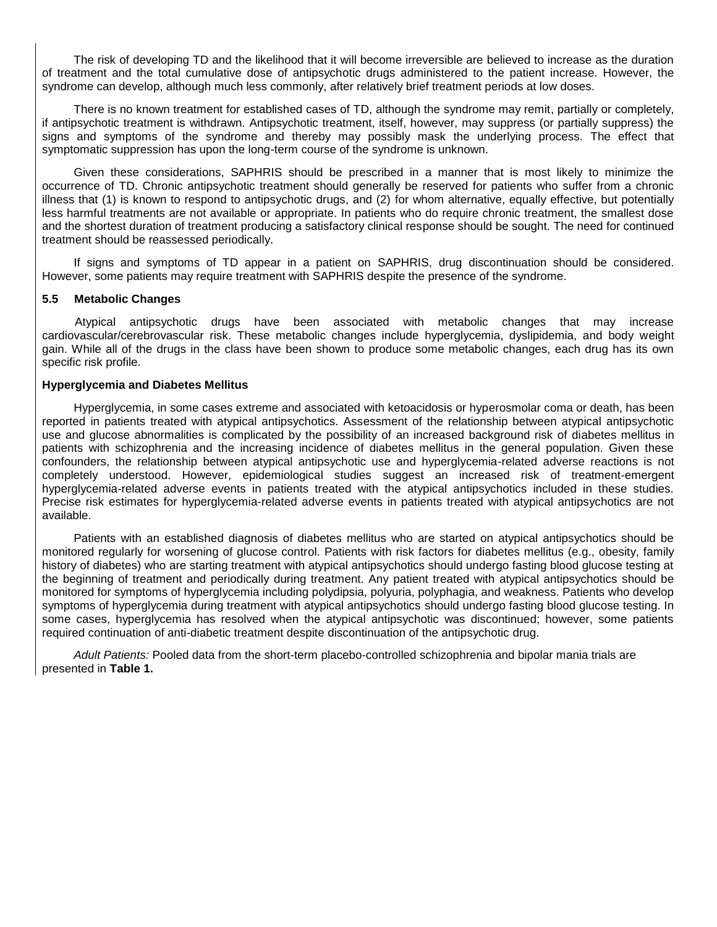The risk of developing TD and the likelihood that it will become irreversible are believed to increase as the duration of treatment and the total cumulative dose of antipsychotic drugs administered to the patient increase. However, the syndrome can develop, although much less commonly, after relatively brief treatment periods at low doses.

There is no known treatment for established cases of TD, although the syndrome may remit, partially or completely, if antipsychotic treatment is withdrawn. Antipsychotic treatment, itself, however, may suppress (or partially suppress) the signs and symptoms of the syndrome and thereby may possibly mask the underlying process. The effect that symptomatic suppression has upon the long-term course of the syndrome is unknown.

Given these considerations, SAPHRIS should be prescribed in a manner that is most likely to minimize the occurrence of TD. Chronic antipsychotic treatment should generally be reserved for patients who suffer from a chronic illness that (1) is known to respond to antipsychotic drugs, and (2) for whom alternative, equally effective, but potentially less harmful treatments are not available or appropriate. In patients who do require chronic treatment, the smallest dose and the shortest duration of treatment producing a satisfactory clinical response should be sought. The need for continued treatment should be reassessed periodically.

If signs and symptoms of TD appear in a patient on SAPHRIS, drug discontinuation should be considered. However, some patients may require treatment with SAPHRIS despite the presence of the syndrome.

### **5.5 Metabolic Changes**

Atypical antipsychotic drugs have been associated with metabolic changes that may increase cardiovascular/cerebrovascular risk. These metabolic changes include hyperglycemia, dyslipidemia, and body weight gain. While all of the drugs in the class have been shown to produce some metabolic changes, each drug has its own specific risk profile.

#### **Hyperglycemia and Diabetes Mellitus**

Hyperglycemia, in some cases extreme and associated with ketoacidosis or hyperosmolar coma or death, has been reported in patients treated with atypical antipsychotics. Assessment of the relationship between atypical antipsychotic use and glucose abnormalities is complicated by the possibility of an increased background risk of diabetes mellitus in patients with schizophrenia and the increasing incidence of diabetes mellitus in the general population. Given these confounders, the relationship between atypical antipsychotic use and hyperglycemia-related adverse reactions is not completely understood. However, epidemiological studies suggest an increased risk of treatment-emergent hyperglycemia-related adverse events in patients treated with the atypical antipsychotics included in these studies. Precise risk estimates for hyperglycemia-related adverse events in patients treated with atypical antipsychotics are not available.

Patients with an established diagnosis of diabetes mellitus who are started on atypical antipsychotics should be monitored regularly for worsening of glucose control. Patients with risk factors for diabetes mellitus (e.g., obesity, family history of diabetes) who are starting treatment with atypical antipsychotics should undergo fasting blood glucose testing at the beginning of treatment and periodically during treatment. Any patient treated with atypical antipsychotics should be monitored for symptoms of hyperglycemia including polydipsia, polyuria, polyphagia, and weakness. Patients who develop symptoms of hyperglycemia during treatment with atypical antipsychotics should undergo fasting blood glucose testing. In some cases, hyperglycemia has resolved when the atypical antipsychotic was discontinued; however, some patients required continuation of anti-diabetic treatment despite discontinuation of the antipsychotic drug.

*Adult Patients:* Pooled data from the short-term placebo-controlled schizophrenia and bipolar mania trials are presented in **Table 1.**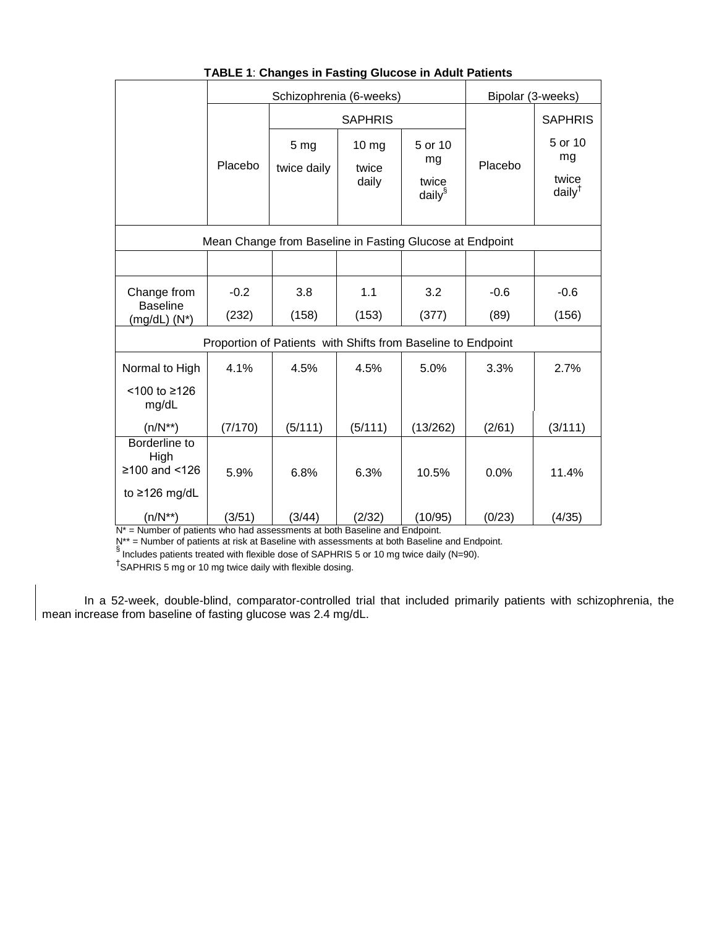|                                          |         | Schizophrenia (6-weeks)                                      | Bipolar (3-weeks)                  |                                               |         |                                              |
|------------------------------------------|---------|--------------------------------------------------------------|------------------------------------|-----------------------------------------------|---------|----------------------------------------------|
|                                          |         |                                                              | <b>SAPHRIS</b>                     |                                               |         | <b>SAPHRIS</b>                               |
|                                          | Placebo | 5 <sub>mg</sub><br>twice daily                               | 10 <sub>mg</sub><br>twice<br>daily | 5 or 10<br>mg<br>twice<br>daily $\frac{1}{3}$ | Placebo | 5 or 10<br>mg<br>twice<br>daily <sup>†</sup> |
|                                          |         | Mean Change from Baseline in Fasting Glucose at Endpoint     |                                    |                                               |         |                                              |
|                                          |         |                                                              |                                    |                                               |         |                                              |
| Change from<br><b>Baseline</b>           | $-0.2$  | 3.8                                                          | 1.1                                | 3.2                                           | $-0.6$  | $-0.6$                                       |
| $(mg/dL)$ $(N^*)$                        | (232)   | (158)                                                        | (153)                              | (377)                                         | (89)    | (156)                                        |
|                                          |         | Proportion of Patients with Shifts from Baseline to Endpoint |                                    |                                               |         |                                              |
| Normal to High                           | 4.1%    | 4.5%                                                         | 4.5%                               | 5.0%                                          | 3.3%    | 2.7%                                         |
| <100 to ≥126<br>mg/dL                    |         |                                                              |                                    |                                               |         |                                              |
| $(n/N^{**})$                             | (7/170) | (5/111)                                                      | (5/111)                            | (13/262)                                      | (2/61)  | (3/111)                                      |
| Borderline to<br>High<br>$≥100$ and <126 | 5.9%    | 6.8%                                                         | 6.3%                               | 10.5%                                         | 0.0%    | 11.4%                                        |
| to $\geq$ 126 mg/dL                      |         |                                                              |                                    |                                               |         |                                              |
| $(n/N^{**})$                             | (3/51)  | (3/44)                                                       | (2/32)                             | (10/95)                                       | (0/23)  | (4/35)                                       |

**TABLE 1**: **Changes in Fasting Glucose in Adult Patients**

N<sup>\*</sup> = Number of patients who had assessments at both Baseline and Endpoint.

 $N^{**}$  = Number of patients at risk at Baseline with assessments at both Baseline and Endpoint. S Includes patients treated with flexible dose of SAPHRIS 5 or 10 mg twice daily (N=90).

<sup>†</sup>SAPHRIS 5 mg or 10 mg twice daily with flexible dosing.

In a 52-week, double-blind, comparator-controlled trial that included primarily patients with schizophrenia, the mean increase from baseline of fasting glucose was 2.4 mg/dL.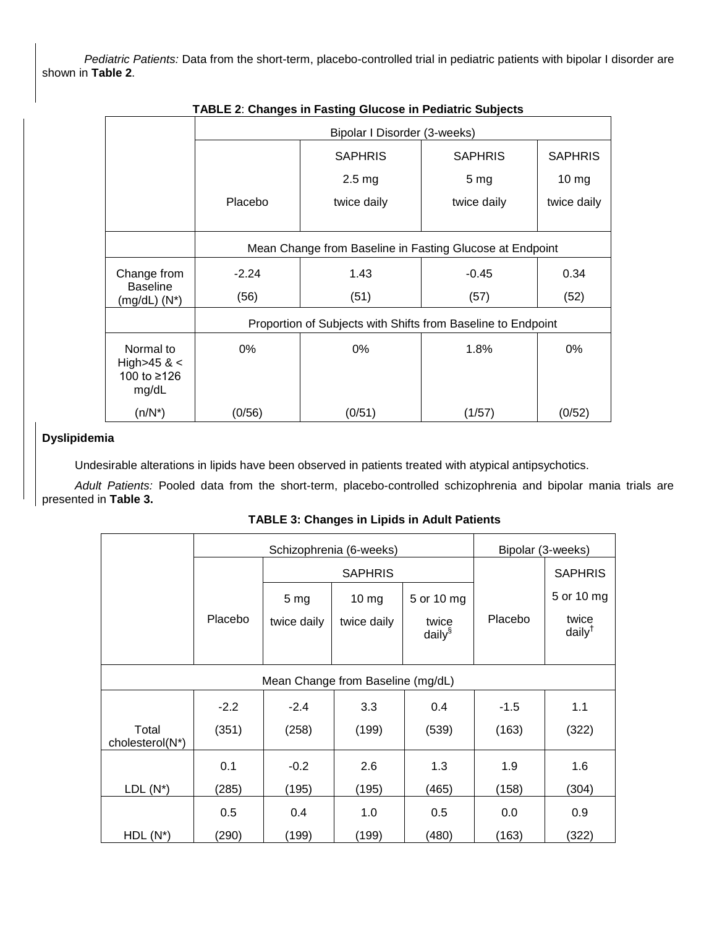*Pediatric Patients:* Data from the short-term, placebo-controlled trial in pediatric patients with bipolar I disorder are shown in **Table 2**.

|                                                     | Bipolar I Disorder (3-weeks) |                                                              |                 |                  |  |  |
|-----------------------------------------------------|------------------------------|--------------------------------------------------------------|-----------------|------------------|--|--|
|                                                     |                              | <b>SAPHRIS</b>                                               | <b>SAPHRIS</b>  | <b>SAPHRIS</b>   |  |  |
|                                                     |                              | $2.5 \text{ mg}$                                             | 5 <sub>mg</sub> | 10 <sub>mg</sub> |  |  |
|                                                     | Placebo                      | twice daily                                                  | twice daily     | twice daily      |  |  |
|                                                     |                              |                                                              |                 |                  |  |  |
|                                                     |                              | Mean Change from Baseline in Fasting Glucose at Endpoint     |                 |                  |  |  |
| Change from                                         | $-2.24$                      | 1.43                                                         | $-0.45$         | 0.34             |  |  |
| <b>Baseline</b><br>(mg/dL) (N*)                     | (56)                         | (51)                                                         | (57)            | (52)             |  |  |
|                                                     |                              | Proportion of Subjects with Shifts from Baseline to Endpoint |                 |                  |  |  |
| Normal to<br>High $>45$ & <<br>100 to ≥126<br>mg/dL | 0%                           | 0%                                                           | 1.8%            | 0%               |  |  |
| $(n/N^*)$                                           | (0/56)                       | (0/51)                                                       | (1/57)          | (0/52)           |  |  |

## **TABLE 2**: **Changes in Fasting Glucose in Pediatric Subjects**

## **Dyslipidemia**

Undesirable alterations in lipids have been observed in patients treated with atypical antipsychotics.

*Adult Patients:* Pooled data from the short-term, placebo-controlled schizophrenia and bipolar mania trials are presented in **Table 3.**

## **TABLE 3: Changes in Lipids in Adult Patients**

|                          |         | Schizophrenia (6-weeks)        |                                   | Bipolar (3-weeks)                             |         |                                              |
|--------------------------|---------|--------------------------------|-----------------------------------|-----------------------------------------------|---------|----------------------------------------------|
|                          |         |                                | <b>SAPHRIS</b>                    |                                               |         | <b>SAPHRIS</b>                               |
|                          | Placebo | 5 <sub>mg</sub><br>twice daily | $10 \, mg$<br>twice daily         | 5 or 10 mg<br>twice<br>$d$ aily $\frac{8}{3}$ | Placebo | 5 or 10 mg<br>twice<br>$d$ aily <sup>†</sup> |
|                          |         |                                | Mean Change from Baseline (mg/dL) |                                               |         |                                              |
|                          | $-2.2$  | $-2.4$                         | 3.3                               | 0.4                                           | $-1.5$  | 1.1                                          |
| Total<br>cholesterol(N*) | (351)   | (258)                          | (199)                             | (539)                                         | (163)   | (322)                                        |
|                          | 0.1     | $-0.2$                         | 2.6                               | 1.3                                           | 1.9     | 1.6                                          |
| $LDL(N^*)$               | (285)   | (195)                          | (195)                             | (465)                                         | (158)   | (304)                                        |
|                          | 0.5     | 0.4                            | 1.0                               | 0.5                                           | 0.0     | 0.9                                          |
| $HDL(N^*)$               | (290)   | (199)                          | (199)                             | (480)                                         | (163)   | (322)                                        |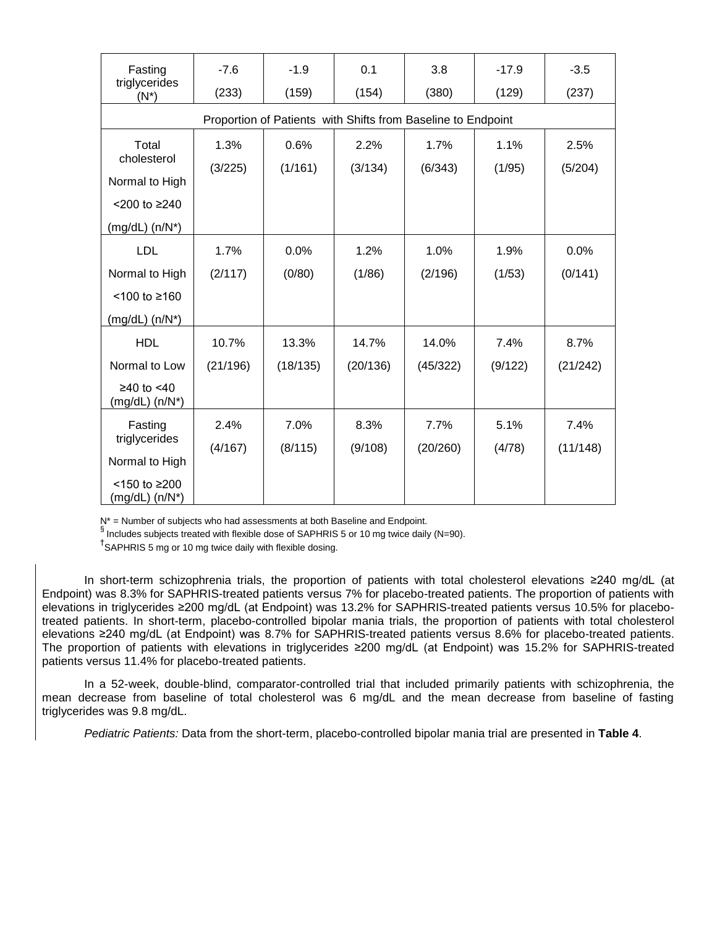| Fasting                             | $-7.6$   | $-1.9$   | 0.1                                                          | 3.8      | $-17.9$ | $-3.5$   |
|-------------------------------------|----------|----------|--------------------------------------------------------------|----------|---------|----------|
| triglycerides<br>$(N^*)$            | (233)    | (159)    | (154)                                                        | (380)    | (129)   | (237)    |
|                                     |          |          | Proportion of Patients with Shifts from Baseline to Endpoint |          |         |          |
| Total                               | 1.3%     | 0.6%     | 2.2%                                                         | 1.7%     | 1.1%    | 2.5%     |
| cholesterol                         | (3/225)  | (1/161)  | (3/134)                                                      | (6/343)  | (1/95)  | (5/204)  |
| Normal to High                      |          |          |                                                              |          |         |          |
| <200 to ≥240                        |          |          |                                                              |          |         |          |
| $(mg/dL)$ $(n/N^*)$                 |          |          |                                                              |          |         |          |
| <b>LDL</b>                          | 1.7%     | 0.0%     | 1.2%                                                         | 1.0%     | 1.9%    | 0.0%     |
| Normal to High                      | (2/117)  | (0/80)   | (1/86)                                                       | (2/196)  | (1/53)  | (0/141)  |
| $100$ to ≥160                       |          |          |                                                              |          |         |          |
| $(mg/dL)$ $(n/N^*)$                 |          |          |                                                              |          |         |          |
| <b>HDL</b>                          | 10.7%    | 13.3%    | 14.7%                                                        | 14.0%    | 7.4%    | 8.7%     |
| Normal to Low                       | (21/196) | (18/135) | (20/136)                                                     | (45/322) | (9/122) | (21/242) |
| $≥40$ to <40<br>$(mg/dL)$ $(n/N^*)$ |          |          |                                                              |          |         |          |
| Fasting                             | 2.4%     | 7.0%     | 8.3%                                                         | 7.7%     | 5.1%    | 7.4%     |
| triglycerides                       | (4/167)  | (8/115)  | (9/108)                                                      | (20/260) | (4/78)  | (11/148) |
| Normal to High                      |          |          |                                                              |          |         |          |
| <150 to ≥200<br>$(mg/dL)$ $(n/N^*)$ |          |          |                                                              |          |         |          |

 $N^*$  = Number of subjects who had assessments at both Baseline and Endpoint.

§ Includes subjects treated with flexible dose of SAPHRIS 5 or 10 mg twice daily (N=90).

<sup>†</sup>SAPHRIS 5 mg or 10 mg twice daily with flexible dosing.

In short-term schizophrenia trials, the proportion of patients with total cholesterol elevations ≥240 mg/dL (at Endpoint) was 8.3% for SAPHRIS-treated patients versus 7% for placebo-treated patients. The proportion of patients with elevations in triglycerides ≥200 mg/dL (at Endpoint) was 13.2% for SAPHRIS-treated patients versus 10.5% for placebotreated patients. In short-term, placebo-controlled bipolar mania trials, the proportion of patients with total cholesterol elevations ≥240 mg/dL (at Endpoint) was 8.7% for SAPHRIS-treated patients versus 8.6% for placebo-treated patients. The proportion of patients with elevations in triglycerides ≥200 mg/dL (at Endpoint) was 15.2% for SAPHRIS-treated patients versus 11.4% for placebo-treated patients.

In a 52-week, double-blind, comparator-controlled trial that included primarily patients with schizophrenia, the mean decrease from baseline of total cholesterol was 6 mg/dL and the mean decrease from baseline of fasting triglycerides was 9.8 mg/dL.

*Pediatric Patients:* Data from the short-term, placebo-controlled bipolar mania trial are presented in **Table 4**.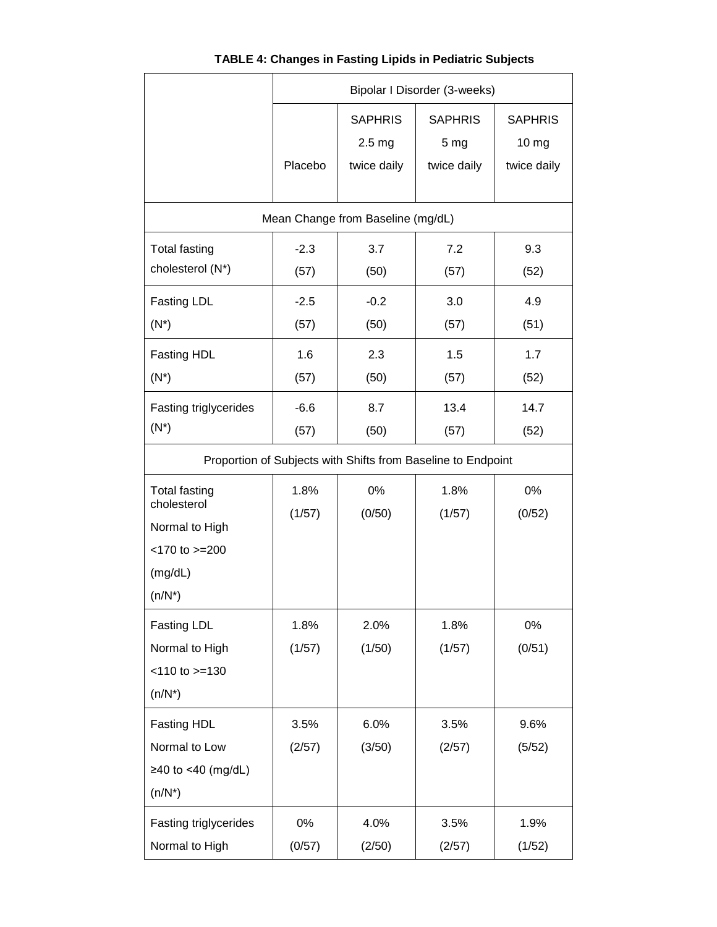|                       | Bipolar I Disorder (3-weeks)      |                                                              |                 |                |  |  |  |  |
|-----------------------|-----------------------------------|--------------------------------------------------------------|-----------------|----------------|--|--|--|--|
|                       |                                   | <b>SAPHRIS</b>                                               | <b>SAPHRIS</b>  | <b>SAPHRIS</b> |  |  |  |  |
|                       |                                   | 2.5 <sub>mg</sub>                                            | 5 <sub>mg</sub> | 10 mg          |  |  |  |  |
|                       | Placebo                           | twice daily                                                  | twice daily     | twice daily    |  |  |  |  |
|                       |                                   |                                                              |                 |                |  |  |  |  |
|                       | Mean Change from Baseline (mg/dL) |                                                              |                 |                |  |  |  |  |
| <b>Total fasting</b>  | $-2.3$                            | 3.7                                                          | 7.2             | 9.3            |  |  |  |  |
| cholesterol (N*)      | (57)                              | (50)                                                         | (57)            | (52)           |  |  |  |  |
| Fasting LDL           | $-2.5$                            | $-0.2$                                                       | 3.0             | 4.9            |  |  |  |  |
| $(N^*)$               | (57)                              | (50)                                                         | (57)            | (51)           |  |  |  |  |
| Fasting HDL           | 1.6                               | 2.3                                                          | 1.5             | 1.7            |  |  |  |  |
| $(N^*)$               | (57)                              | (50)                                                         | (57)            | (52)           |  |  |  |  |
| Fasting triglycerides | $-6.6$                            | 8.7                                                          | 13.4            | 14.7           |  |  |  |  |
| $(N^*)$               | (57)                              | (50)                                                         | (57)            | (52)           |  |  |  |  |
|                       |                                   | Proportion of Subjects with Shifts from Baseline to Endpoint |                 |                |  |  |  |  |
| <b>Total fasting</b>  | 1.8%                              | 0%                                                           | 1.8%            | 0%             |  |  |  |  |
| cholesterol           | (1/57)                            | (0/50)                                                       | (1/57)          | (0/52)         |  |  |  |  |
| Normal to High        |                                   |                                                              |                 |                |  |  |  |  |
| $<$ 170 to $>=$ 200   |                                   |                                                              |                 |                |  |  |  |  |
| (mg/dL)               |                                   |                                                              |                 |                |  |  |  |  |
| $(n/N^*)$             |                                   |                                                              |                 |                |  |  |  |  |
| <b>Fasting LDL</b>    | 1.8%                              | 2.0%                                                         | 1.8%            | $0\%$          |  |  |  |  |
| Normal to High        | (1/57)                            | (1/50)                                                       | (1/57)          | (0/51)         |  |  |  |  |
| $<$ 110 to $>=$ 130   |                                   |                                                              |                 |                |  |  |  |  |
| $(n/N^*)$             |                                   |                                                              |                 |                |  |  |  |  |
| Fasting HDL           | 3.5%                              | 6.0%                                                         | 3.5%            | 9.6%           |  |  |  |  |
| Normal to Low         | (2/57)                            | (3/50)                                                       | (2/57)          | (5/52)         |  |  |  |  |
| ≥40 to <40 (mg/dL)    |                                   |                                                              |                 |                |  |  |  |  |
| $(n/N^*)$             |                                   |                                                              |                 |                |  |  |  |  |
| Fasting triglycerides | $0\%$                             | 4.0%                                                         | 3.5%            | 1.9%           |  |  |  |  |
| Normal to High        | (0/57)                            | (2/50)                                                       | (2/57)          | (1/52)         |  |  |  |  |

# **TABLE 4: Changes in Fasting Lipids in Pediatric Subjects**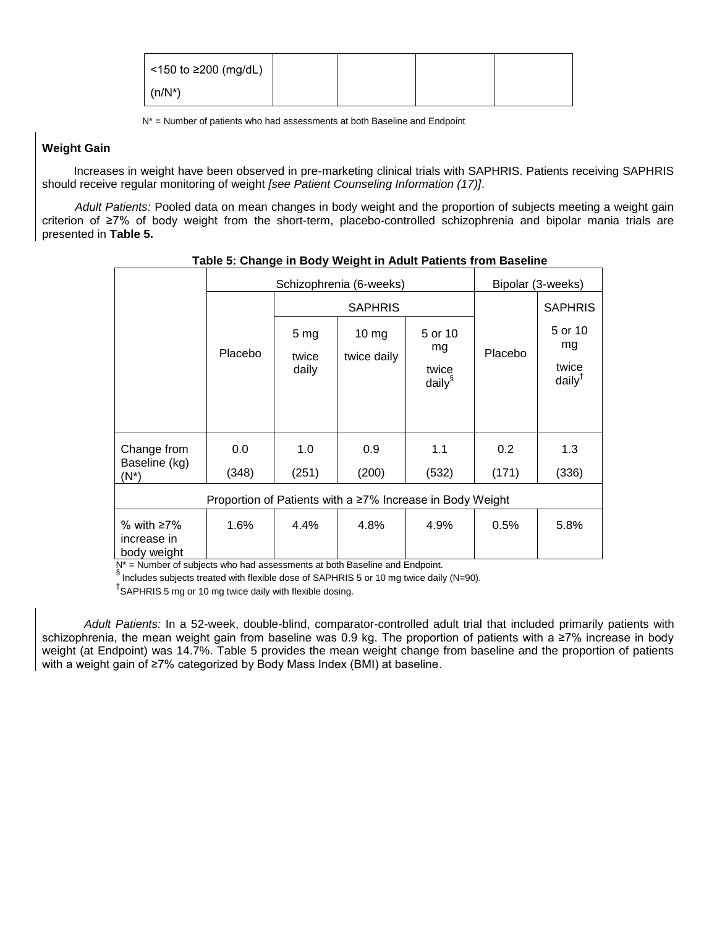| <150 to ≥200 (mg/dL) |  |  |
|----------------------|--|--|
| $(n/N^*)$            |  |  |

N\* = Number of patients who had assessments at both Baseline and Endpoint

## **Weight Gain**

Increases in weight have been observed in pre-marketing clinical trials with SAPHRIS. Patients receiving SAPHRIS should receive regular monitoring of weight *[see Patient Counseling Information (17)]*.

*Adult Patients:* Pooled data on mean changes in body weight and the proportion of subjects meeting a weight gain criterion of ≥7% of body weight from the short-term, placebo-controlled schizophrenia and bipolar mania trials are presented in **Table 5.**

|                                                           | Schizophrenia (6-weeks) |                                   |                                |                                                  |         | Bipolar (3-weeks)                               |  |
|-----------------------------------------------------------|-------------------------|-----------------------------------|--------------------------------|--------------------------------------------------|---------|-------------------------------------------------|--|
|                                                           |                         |                                   | <b>SAPHRIS</b>                 |                                                  |         | <b>SAPHRIS</b>                                  |  |
|                                                           | Placebo                 | 5 <sub>mg</sub><br>twice<br>daily | $10 \text{ mg}$<br>twice daily | 5 or 10<br>mg<br>twice<br>$d$ aily $\frac{1}{3}$ | Placebo | 5 or 10<br>mg<br>twice<br>$d$ aily <sup>†</sup> |  |
| Change from                                               | 0.0                     | 1.0                               | 0.9                            | 1.1                                              | 0.2     | 1.3                                             |  |
| Baseline (kg)<br>(N*)                                     | (348)                   | (251)                             | (200)                          | (532)                                            | (171)   | (336)                                           |  |
| Proportion of Patients with a ≥7% Increase in Body Weight |                         |                                   |                                |                                                  |         |                                                 |  |
| % with ≥7%<br>increase in<br>body weight                  | 1.6%                    | 4.4%                              | 4.8%                           | 4.9%                                             | 0.5%    | 5.8%                                            |  |

## **Table 5: Change in Body Weight in Adult Patients from Baseline**

N\* = Number of subjects who had assessments at both Baseline and Endpoint.

 $\frac{8}{3}$  Includes subjects treated with flexible dose of SAPHRIS 5 or 10 mg twice daily (N=90).

<sup>†</sup>SAPHRIS 5 mg or 10 mg twice daily with flexible dosing.

*Adult Patients:* In a 52-week, double-blind, comparator-controlled adult trial that included primarily patients with schizophrenia, the mean weight gain from baseline was 0.9 kg. The proportion of patients with a ≥7% increase in body weight (at Endpoint) was 14.7%. Table 5 provides the mean weight change from baseline and the proportion of patients with a weight gain of ≥7% categorized by Body Mass Index (BMI) at baseline.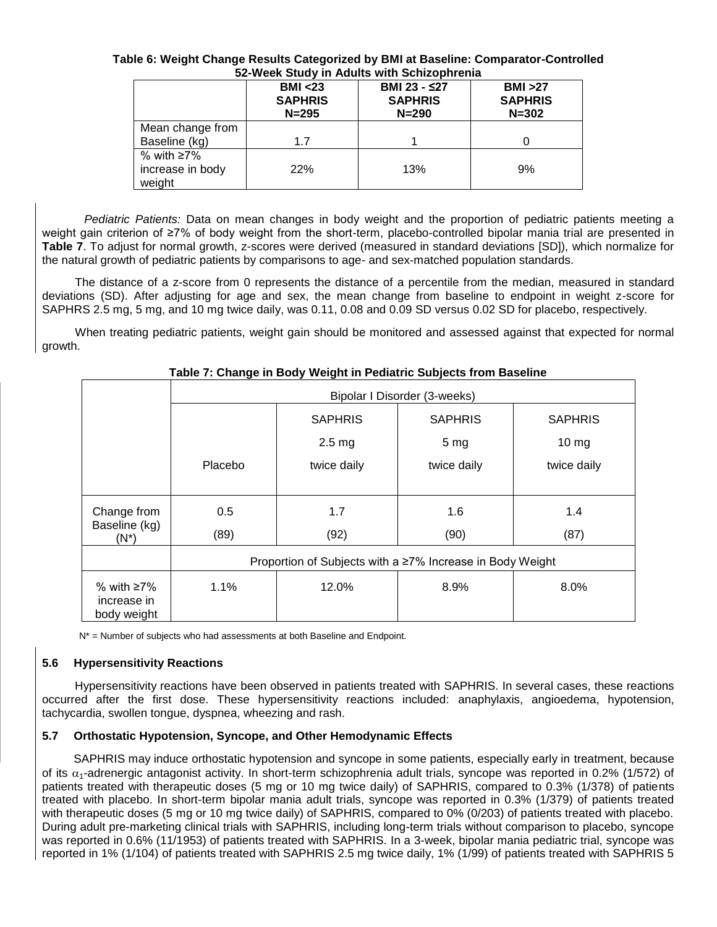### **Table 6: Weight Change Results Categorized by BMI at Baseline: Comparator-Controlled 52-Week Study in Adults with Schizophrenia**

|                                          | BMI < 23<br><b>SAPHRIS</b><br>$N = 295$ | BMI 23 - ≤27<br><b>SAPHRIS</b><br>$N = 290$ | BMI > 27<br><b>SAPHRIS</b><br>$N = 302$ |
|------------------------------------------|-----------------------------------------|---------------------------------------------|-----------------------------------------|
| Mean change from                         |                                         |                                             |                                         |
| Baseline (kg)                            | 1.7                                     |                                             |                                         |
| % with ≥7%<br>increase in body<br>weight | 22%                                     | 13%                                         | 9%                                      |

*Pediatric Patients:* Data on mean changes in body weight and the proportion of pediatric patients meeting a weight gain criterion of ≥7% of body weight from the short-term, placebo-controlled bipolar mania trial are presented in **Table 7**. To adjust for normal growth, z-scores were derived (measured in standard deviations [SD]), which normalize for the natural growth of pediatric patients by comparisons to age- and sex-matched population standards.

The distance of a z-score from 0 represents the distance of a percentile from the median, measured in standard deviations (SD). After adjusting for age and sex, the mean change from baseline to endpoint in weight z-score for SAPHRS 2.5 mg, 5 mg, and 10 mg twice daily, was 0.11, 0.08 and 0.09 SD versus 0.02 SD for placebo, respectively.

When treating pediatric patients, weight gain should be monitored and assessed against that expected for normal growth.

|                                          | Bipolar I Disorder (3-weeks)                              |                                  |                 |                 |  |  |  |
|------------------------------------------|-----------------------------------------------------------|----------------------------------|-----------------|-----------------|--|--|--|
|                                          |                                                           | <b>SAPHRIS</b><br><b>SAPHRIS</b> |                 | <b>SAPHRIS</b>  |  |  |  |
|                                          |                                                           | 2.5 <sub>mg</sub>                | 5 <sub>mg</sub> | $10 \text{ mg}$ |  |  |  |
|                                          | Placebo                                                   | twice daily                      | twice daily     | twice daily     |  |  |  |
|                                          |                                                           |                                  |                 |                 |  |  |  |
| Change from                              | 0.5                                                       | 1.7                              | 1.6             | 1.4             |  |  |  |
| Baseline (kg)<br>$(N^*)$                 | (89)                                                      | (92)                             | (90)            | (87)            |  |  |  |
|                                          | Proportion of Subjects with a ≥7% Increase in Body Weight |                                  |                 |                 |  |  |  |
| % with ≥7%<br>increase in<br>body weight | 1.1%                                                      | 12.0%                            | 8.9%            | 8.0%            |  |  |  |

## **Table 7: Change in Body Weight in Pediatric Subjects from Baseline**

 $N^*$  = Number of subjects who had assessments at both Baseline and Endpoint.

# **5.6 Hypersensitivity Reactions**

Hypersensitivity reactions have been observed in patients treated with SAPHRIS. In several cases, these reactions occurred after the first dose. These hypersensitivity reactions included: anaphylaxis, angioedema, hypotension, tachycardia, swollen tongue, dyspnea, wheezing and rash.

## **5.7 Orthostatic Hypotension, Syncope, and Other Hemodynamic Effects**

SAPHRIS may induce orthostatic hypotension and syncope in some patients, especially early in treatment, because of its  $\alpha_1$ -adrenergic antagonist activity. In short-term schizophrenia adult trials, syncope was reported in 0.2% (1/572) of patients treated with therapeutic doses (5 mg or 10 mg twice daily) of SAPHRIS, compared to 0.3% (1/378) of patients treated with placebo. In short-term bipolar mania adult trials, syncope was reported in 0.3% (1/379) of patients treated with therapeutic doses (5 mg or 10 mg twice daily) of SAPHRIS, compared to 0% (0/203) of patients treated with placebo. During adult pre-marketing clinical trials with SAPHRIS, including long-term trials without comparison to placebo, syncope was reported in 0.6% (11/1953) of patients treated with SAPHRIS. In a 3-week, bipolar mania pediatric trial, syncope was reported in 1% (1/104) of patients treated with SAPHRIS 2.5 mg twice daily, 1% (1/99) of patients treated with SAPHRIS 5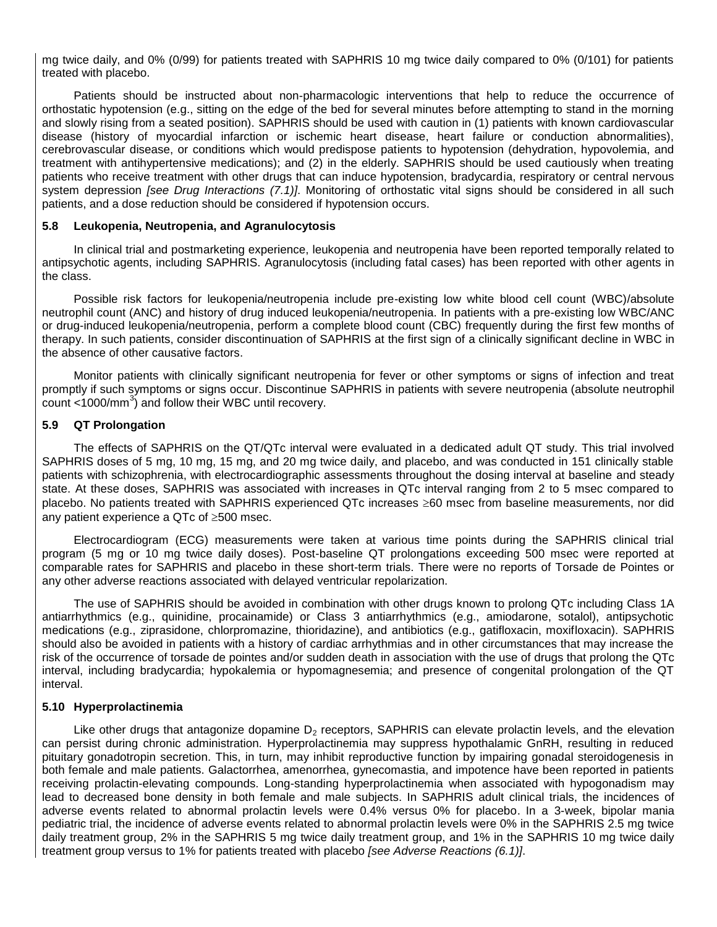mg twice daily, and 0% (0/99) for patients treated with SAPHRIS 10 mg twice daily compared to 0% (0/101) for patients treated with placebo.

Patients should be instructed about non-pharmacologic interventions that help to reduce the occurrence of orthostatic hypotension (e.g., sitting on the edge of the bed for several minutes before attempting to stand in the morning and slowly rising from a seated position). SAPHRIS should be used with caution in (1) patients with known cardiovascular disease (history of myocardial infarction or ischemic heart disease, heart failure or conduction abnormalities), cerebrovascular disease, or conditions which would predispose patients to hypotension (dehydration, hypovolemia, and treatment with antihypertensive medications); and (2) in the elderly. SAPHRIS should be used cautiously when treating patients who receive treatment with other drugs that can induce hypotension, bradycardia, respiratory or central nervous system depression *[see Drug Interactions (7.1)]*. Monitoring of orthostatic vital signs should be considered in all such patients, and a dose reduction should be considered if hypotension occurs.

### **5.8 Leukopenia, Neutropenia, and Agranulocytosis**

In clinical trial and postmarketing experience, leukopenia and neutropenia have been reported temporally related to antipsychotic agents, including SAPHRIS. Agranulocytosis (including fatal cases) has been reported with other agents in the class.

Possible risk factors for leukopenia/neutropenia include pre-existing low white blood cell count (WBC)/absolute neutrophil count (ANC) and history of drug induced leukopenia/neutropenia. In patients with a pre-existing low WBC/ANC or drug-induced leukopenia/neutropenia, perform a complete blood count (CBC) frequently during the first few months of therapy. In such patients, consider discontinuation of SAPHRIS at the first sign of a clinically significant decline in WBC in the absence of other causative factors.

Monitor patients with clinically significant neutropenia for fever or other symptoms or signs of infection and treat promptly if such symptoms or signs occur. Discontinue SAPHRIS in patients with severe neutropenia (absolute neutrophil  $\frac{1}{2}$  count <1000/mm<sup>3</sup>) and follow their WBC until recovery.

### **5.9 QT Prolongation**

The effects of SAPHRIS on the QT/QTc interval were evaluated in a dedicated adult QT study. This trial involved SAPHRIS doses of 5 mg, 10 mg, 15 mg, and 20 mg twice daily, and placebo, and was conducted in 151 clinically stable patients with schizophrenia, with electrocardiographic assessments throughout the dosing interval at baseline and steady state. At these doses, SAPHRIS was associated with increases in QTc interval ranging from 2 to 5 msec compared to placebo. No patients treated with SAPHRIS experienced QTc increases  $\geq 60$  msec from baseline measurements, nor did any patient experience a QTc of  $\geq$ 500 msec.

Electrocardiogram (ECG) measurements were taken at various time points during the SAPHRIS clinical trial program (5 mg or 10 mg twice daily doses). Post-baseline QT prolongations exceeding 500 msec were reported at comparable rates for SAPHRIS and placebo in these short-term trials. There were no reports of Torsade de Pointes or any other adverse reactions associated with delayed ventricular repolarization.

The use of SAPHRIS should be avoided in combination with other drugs known to prolong QTc including Class 1A antiarrhythmics (e.g., quinidine, procainamide) or Class 3 antiarrhythmics (e.g., amiodarone, sotalol), antipsychotic medications (e.g., ziprasidone, chlorpromazine, thioridazine), and antibiotics (e.g., gatifloxacin, moxifloxacin). SAPHRIS should also be avoided in patients with a history of cardiac arrhythmias and in other circumstances that may increase the risk of the occurrence of torsade de pointes and/or sudden death in association with the use of drugs that prolong the QTc interval, including bradycardia; hypokalemia or hypomagnesemia; and presence of congenital prolongation of the QT interval.

### **5.10 Hyperprolactinemia**

Like other drugs that antagonize dopamine  $D_2$  receptors, SAPHRIS can elevate prolactin levels, and the elevation can persist during chronic administration. Hyperprolactinemia may suppress hypothalamic GnRH, resulting in reduced pituitary gonadotropin secretion. This, in turn, may inhibit reproductive function by impairing gonadal steroidogenesis in both female and male patients. Galactorrhea, amenorrhea, gynecomastia, and impotence have been reported in patients receiving prolactin-elevating compounds. Long-standing hyperprolactinemia when associated with hypogonadism may lead to decreased bone density in both female and male subjects. In SAPHRIS adult clinical trials, the incidences of adverse events related to abnormal prolactin levels were 0.4% versus 0% for placebo. In a 3-week, bipolar mania pediatric trial, the incidence of adverse events related to abnormal prolactin levels were 0% in the SAPHRIS 2.5 mg twice daily treatment group, 2% in the SAPHRIS 5 mg twice daily treatment group, and 1% in the SAPHRIS 10 mg twice daily treatment group versus to 1% for patients treated with placebo *[see Adverse Reactions (6.1)]*.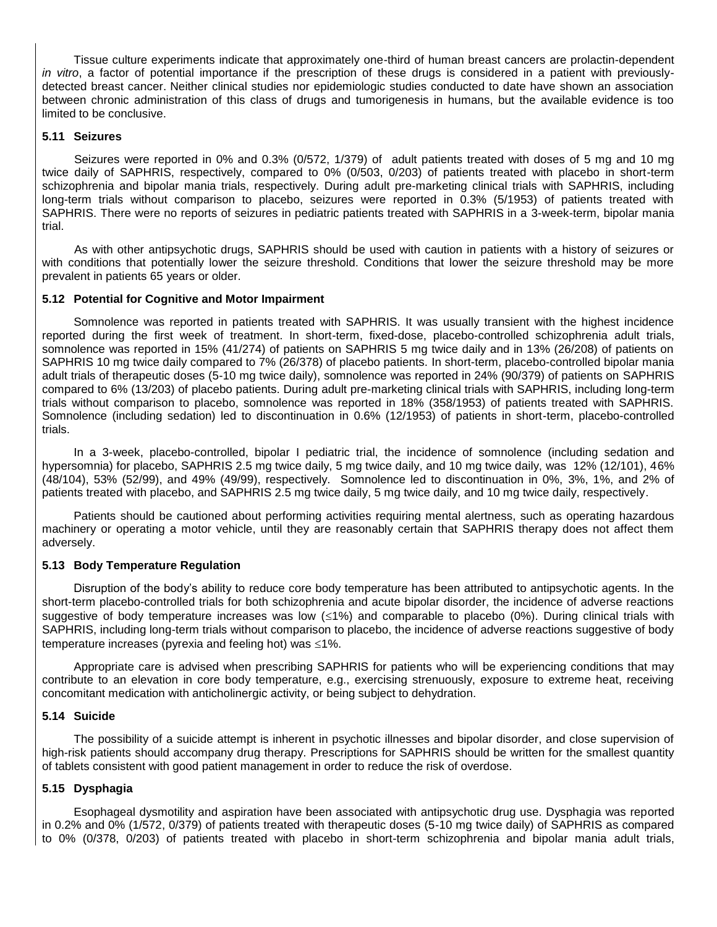Tissue culture experiments indicate that approximately one-third of human breast cancers are prolactin-dependent *in vitro*, a factor of potential importance if the prescription of these drugs is considered in a patient with previouslydetected breast cancer. Neither clinical studies nor epidemiologic studies conducted to date have shown an association between chronic administration of this class of drugs and tumorigenesis in humans, but the available evidence is too limited to be conclusive.

### **5.11 Seizures**

Seizures were reported in 0% and 0.3% (0/572, 1/379) of adult patients treated with doses of 5 mg and 10 mg twice daily of SAPHRIS, respectively, compared to 0% (0/503, 0/203) of patients treated with placebo in short-term schizophrenia and bipolar mania trials, respectively. During adult pre-marketing clinical trials with SAPHRIS, including long-term trials without comparison to placebo, seizures were reported in 0.3% (5/1953) of patients treated with SAPHRIS. There were no reports of seizures in pediatric patients treated with SAPHRIS in a 3-week-term, bipolar mania trial.

As with other antipsychotic drugs, SAPHRIS should be used with caution in patients with a history of seizures or with conditions that potentially lower the seizure threshold. Conditions that lower the seizure threshold may be more prevalent in patients 65 years or older.

#### **5.12 Potential for Cognitive and Motor Impairment**

Somnolence was reported in patients treated with SAPHRIS. It was usually transient with the highest incidence reported during the first week of treatment. In short-term, fixed-dose, placebo-controlled schizophrenia adult trials, somnolence was reported in 15% (41/274) of patients on SAPHRIS 5 mg twice daily and in 13% (26/208) of patients on SAPHRIS 10 mg twice daily compared to 7% (26/378) of placebo patients. In short-term, placebo-controlled bipolar mania adult trials of therapeutic doses (5-10 mg twice daily), somnolence was reported in 24% (90/379) of patients on SAPHRIS compared to 6% (13/203) of placebo patients. During adult pre-marketing clinical trials with SAPHRIS, including long-term trials without comparison to placebo, somnolence was reported in 18% (358/1953) of patients treated with SAPHRIS. Somnolence (including sedation) led to discontinuation in 0.6% (12/1953) of patients in short-term, placebo-controlled trials.

In a 3-week, placebo-controlled, bipolar I pediatric trial, the incidence of somnolence (including sedation and hypersomnia) for placebo, SAPHRIS 2.5 mg twice daily, 5 mg twice daily, and 10 mg twice daily, was 12% (12/101), 46% (48/104), 53% (52/99), and 49% (49/99), respectively. Somnolence led to discontinuation in 0%, 3%, 1%, and 2% of patients treated with placebo, and SAPHRIS 2.5 mg twice daily, 5 mg twice daily, and 10 mg twice daily, respectively.

Patients should be cautioned about performing activities requiring mental alertness, such as operating hazardous machinery or operating a motor vehicle, until they are reasonably certain that SAPHRIS therapy does not affect them adversely.

### **5.13 Body Temperature Regulation**

Disruption of the body's ability to reduce core body temperature has been attributed to antipsychotic agents. In the short-term placebo-controlled trials for both schizophrenia and acute bipolar disorder, the incidence of adverse reactions suggestive of body temperature increases was low  $(1\%)$  and comparable to placebo (0%). During clinical trials with SAPHRIS, including long-term trials without comparison to placebo, the incidence of adverse reactions suggestive of body temperature increases (pyrexia and feeling hot) was  $\leq 1\%$ .

Appropriate care is advised when prescribing SAPHRIS for patients who will be experiencing conditions that may contribute to an elevation in core body temperature, e.g., exercising strenuously, exposure to extreme heat, receiving concomitant medication with anticholinergic activity, or being subject to dehydration.

### **5.14 Suicide**

The possibility of a suicide attempt is inherent in psychotic illnesses and bipolar disorder, and close supervision of high-risk patients should accompany drug therapy. Prescriptions for SAPHRIS should be written for the smallest quantity of tablets consistent with good patient management in order to reduce the risk of overdose.

### **5.15 Dysphagia**

Esophageal dysmotility and aspiration have been associated with antipsychotic drug use. Dysphagia was reported in 0.2% and 0% (1/572, 0/379) of patients treated with therapeutic doses (5-10 mg twice daily) of SAPHRIS as compared to 0% (0/378, 0/203) of patients treated with placebo in short-term schizophrenia and bipolar mania adult trials,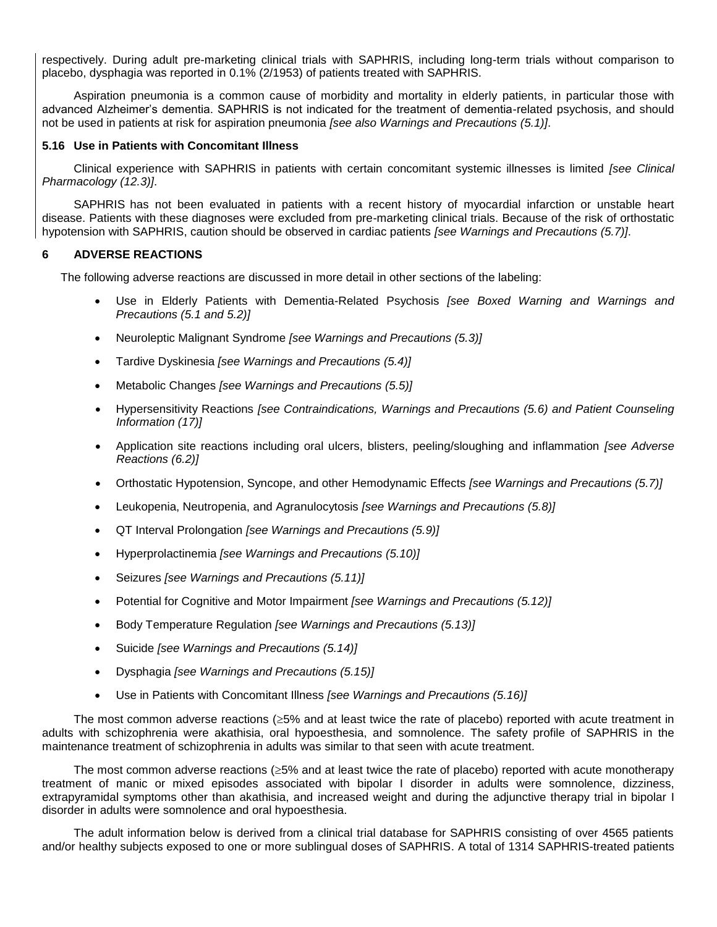respectively. During adult pre-marketing clinical trials with SAPHRIS, including long-term trials without comparison to placebo, dysphagia was reported in 0.1% (2/1953) of patients treated with SAPHRIS.

Aspiration pneumonia is a common cause of morbidity and mortality in elderly patients, in particular those with advanced Alzheimer's dementia. SAPHRIS is not indicated for the treatment of dementia-related psychosis, and should not be used in patients at risk for aspiration pneumonia *[see also Warnings and Precautions (5.1)]*.

#### **5.16 Use in Patients with Concomitant Illness**

Clinical experience with SAPHRIS in patients with certain concomitant systemic illnesses is limited *[see Clinical Pharmacology (12.3)]*.

SAPHRIS has not been evaluated in patients with a recent history of myocardial infarction or unstable heart disease. Patients with these diagnoses were excluded from pre-marketing clinical trials. Because of the risk of orthostatic hypotension with SAPHRIS, caution should be observed in cardiac patients *[see Warnings and Precautions (5.7)]*.

### **6 ADVERSE REACTIONS**

The following adverse reactions are discussed in more detail in other sections of the labeling:

- Use in Elderly Patients with Dementia-Related Psychosis *[see Boxed Warning and Warnings and Precautions (5.1 and 5.2)]*
- Neuroleptic Malignant Syndrome *[see Warnings and Precautions (5.3)]*
- Tardive Dyskinesia *[see Warnings and Precautions (5.4)]*
- Metabolic Changes *[see Warnings and Precautions (5.5)]*
- Hypersensitivity Reactions *[see Contraindications, Warnings and Precautions (5.6) and Patient Counseling Information (17)]*
- Application site reactions including oral ulcers, blisters, peeling/sloughing and inflammation *[see Adverse Reactions (6.2)]*
- Orthostatic Hypotension, Syncope, and other Hemodynamic Effects *[see Warnings and Precautions (5.7)]*
- Leukopenia, Neutropenia, and Agranulocytosis *[see Warnings and Precautions (5.8)]*
- QT Interval Prolongation *[see Warnings and Precautions (5.9)]*
- Hyperprolactinemia *[see Warnings and Precautions (5.10)]*
- Seizures *[see Warnings and Precautions (5.11)]*
- Potential for Cognitive and Motor Impairment *[see Warnings and Precautions (5.12)]*
- Body Temperature Regulation *[see Warnings and Precautions (5.13)]*
- Suicide *[see Warnings and Precautions (5.14)]*
- Dysphagia *[see Warnings and Precautions (5.15)]*
- Use in Patients with Concomitant Illness *[see Warnings and Precautions (5.16)]*

The most common adverse reactions ( $\geq$ 5% and at least twice the rate of placebo) reported with acute treatment in adults with schizophrenia were akathisia, oral hypoesthesia, and somnolence. The safety profile of SAPHRIS in the maintenance treatment of schizophrenia in adults was similar to that seen with acute treatment.

The most common adverse reactions ( $\geq$ 5% and at least twice the rate of placebo) reported with acute monotherapy treatment of manic or mixed episodes associated with bipolar I disorder in adults were somnolence, dizziness, extrapyramidal symptoms other than akathisia, and increased weight and during the adjunctive therapy trial in bipolar I disorder in adults were somnolence and oral hypoesthesia.

The adult information below is derived from a clinical trial database for SAPHRIS consisting of over 4565 patients and/or healthy subjects exposed to one or more sublingual doses of SAPHRIS. A total of 1314 SAPHRIS-treated patients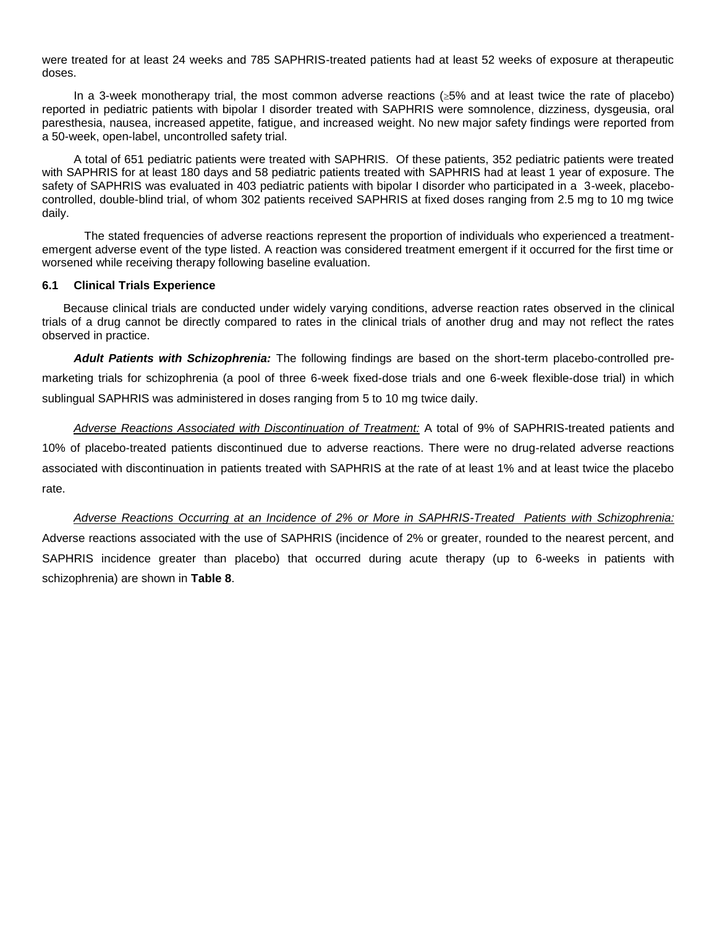were treated for at least 24 weeks and 785 SAPHRIS-treated patients had at least 52 weeks of exposure at therapeutic doses.

In a 3-week monotherapy trial, the most common adverse reactions ( $\geq$ 5% and at least twice the rate of placebo) reported in pediatric patients with bipolar I disorder treated with SAPHRIS were somnolence, dizziness, dysgeusia, oral paresthesia, nausea, increased appetite, fatigue, and increased weight. No new major safety findings were reported from a 50-week, open-label, uncontrolled safety trial.

A total of 651 pediatric patients were treated with SAPHRIS. Of these patients, 352 pediatric patients were treated with SAPHRIS for at least 180 days and 58 pediatric patients treated with SAPHRIS had at least 1 year of exposure. The safety of SAPHRIS was evaluated in 403 pediatric patients with bipolar I disorder who participated in a 3-week, placebocontrolled, double-blind trial, of whom 302 patients received SAPHRIS at fixed doses ranging from 2.5 mg to 10 mg twice daily.

The stated frequencies of adverse reactions represent the proportion of individuals who experienced a treatmentemergent adverse event of the type listed. A reaction was considered treatment emergent if it occurred for the first time or worsened while receiving therapy following baseline evaluation.

#### **6.1 Clinical Trials Experience**

Because clinical trials are conducted under widely varying conditions, adverse reaction rates observed in the clinical trials of a drug cannot be directly compared to rates in the clinical trials of another drug and may not reflect the rates observed in practice.

*Adult Patients with Schizophrenia:* The following findings are based on the short-term placebo-controlled premarketing trials for schizophrenia (a pool of three 6-week fixed-dose trials and one 6-week flexible-dose trial) in which sublingual SAPHRIS was administered in doses ranging from 5 to 10 mg twice daily.

*Adverse Reactions Associated with Discontinuation of Treatment:* A total of 9% of SAPHRIS-treated patients and 10% of placebo-treated patients discontinued due to adverse reactions. There were no drug-related adverse reactions associated with discontinuation in patients treated with SAPHRIS at the rate of at least 1% and at least twice the placebo rate.

*Adverse Reactions Occurring at an Incidence of 2% or More in SAPHRIS-Treated Patients with Schizophrenia:* Adverse reactions associated with the use of SAPHRIS (incidence of 2% or greater, rounded to the nearest percent, and SAPHRIS incidence greater than placebo) that occurred during acute therapy (up to 6-weeks in patients with schizophrenia) are shown in **Table 8**.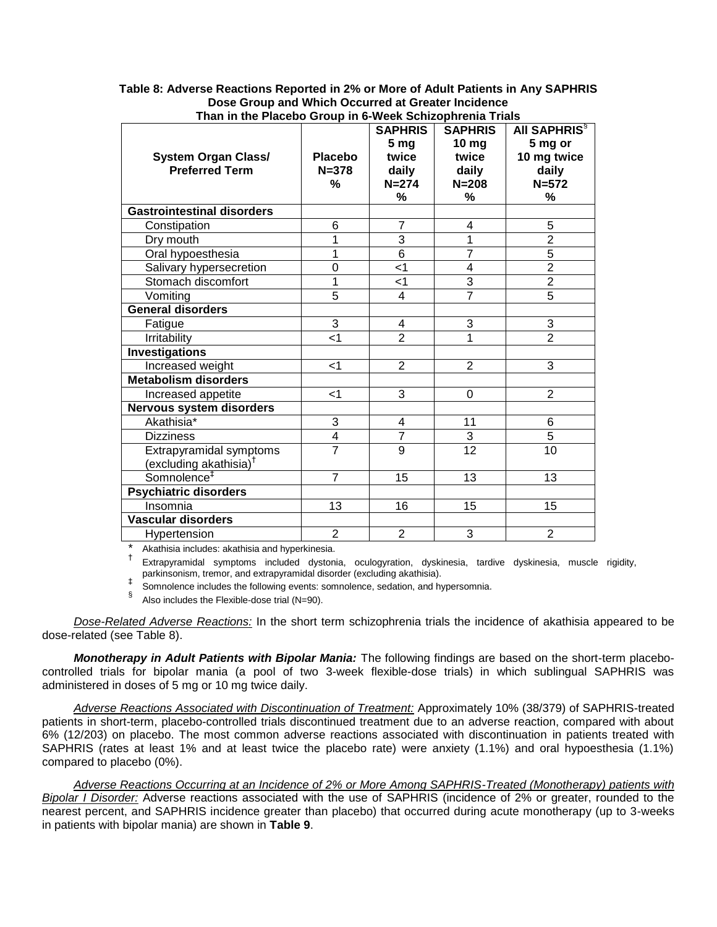#### **Table 8: Adverse Reactions Reported in 2% or More of Adult Patients in Any SAPHRIS Dose Group and Which Occurred at Greater Incidence Than in the Placebo Group in 6-Week Schizophrenia Trials**

|                                                             |                | <b>SAPHRIS</b><br>5 mg | <b>SAPHRIS</b><br>10 mg | All SAPHRIS <sup>§</sup><br>5 mg or |
|-------------------------------------------------------------|----------------|------------------------|-------------------------|-------------------------------------|
| <b>System Organ Class/</b>                                  | <b>Placebo</b> | twice                  | twice                   | 10 mg twice                         |
| <b>Preferred Term</b>                                       | $N = 378$      | daily                  | daily                   | daily                               |
|                                                             | %              | $N = 274$<br>℅         | $N = 208$<br>%          | $N = 572$<br>%                      |
| <b>Gastrointestinal disorders</b>                           |                |                        |                         |                                     |
| Constipation                                                | 6              | $\overline{7}$         | 4                       | 5                                   |
| Dry mouth                                                   | 1              | 3                      | 1                       | $\overline{2}$                      |
| Oral hypoesthesia                                           | 1              | $\overline{6}$         | $\overline{7}$          | $\overline{5}$                      |
| Salivary hypersecretion                                     | 0              | <1                     | 4                       | $\overline{2}$                      |
| Stomach discomfort                                          | 1              | <1                     | $\overline{3}$          | $\overline{2}$                      |
| Vomiting                                                    | 5              | 4                      | $\overline{7}$          | 5                                   |
| <b>General disorders</b>                                    |                |                        |                         |                                     |
| Fatigue                                                     | 3              | 4                      | 3                       | 3                                   |
| Irritability                                                | $\leq$ 1       | $\overline{2}$         | 1                       | $\overline{2}$                      |
| <b>Investigations</b>                                       |                |                        |                         |                                     |
| <b>Increased</b> weight                                     | <1             | $\overline{2}$         | $\overline{2}$          | 3                                   |
| <b>Metabolism disorders</b>                                 |                |                        |                         |                                     |
| Increased appetite                                          | <1             | 3                      | $\Omega$                | $\overline{2}$                      |
| Nervous system disorders                                    |                |                        |                         |                                     |
| Akathisia*                                                  | 3              | 4                      | 11                      | 6                                   |
| <b>Dizziness</b>                                            | 4              | $\overline{7}$         | 3                       | 5                                   |
| Extrapyramidal symptoms                                     | $\overline{7}$ | 9                      | $\overline{12}$         | 10                                  |
| (excluding akathisia) $^\dagger$<br>Somnolence <sup>#</sup> | $\overline{7}$ |                        |                         |                                     |
|                                                             |                | 15                     | 13                      | 13                                  |
| Psychiatric disorders<br>Insomnia                           |                |                        |                         |                                     |
| <b>Vascular disorders</b>                                   | 13             | 16                     | 15                      | 15                                  |
|                                                             | $\overline{2}$ | $\overline{2}$         | 3                       | $\overline{2}$                      |
| Hypertension                                                |                |                        |                         |                                     |

\* Akathisia includes: akathisia and hyperkinesia.

† Extrapyramidal symptoms included dystonia, oculogyration, dyskinesia, tardive dyskinesia, muscle rigidity, parkinsonism, tremor, and extrapyramidal disorder (excluding akathisia).

‡ Somnolence includes the following events: somnolence, sedation, and hypersomnia.

§ Also includes the Flexible-dose trial (N=90).

*Dose-Related Adverse Reactions:* In the short term schizophrenia trials the incidence of akathisia appeared to be dose-related (see Table 8).

*Monotherapy in Adult Patients with Bipolar Mania:* The following findings are based on the short-term placebocontrolled trials for bipolar mania (a pool of two 3-week flexible-dose trials) in which sublingual SAPHRIS was administered in doses of 5 mg or 10 mg twice daily.

*Adverse Reactions Associated with Discontinuation of Treatment:* Approximately 10% (38/379) of SAPHRIS-treated patients in short-term, placebo-controlled trials discontinued treatment due to an adverse reaction, compared with about 6% (12/203) on placebo. The most common adverse reactions associated with discontinuation in patients treated with SAPHRIS (rates at least 1% and at least twice the placebo rate) were anxiety (1.1%) and oral hypoesthesia (1.1%) compared to placebo (0%).

*Adverse Reactions Occurring at an Incidence of 2% or More Among SAPHRIS-Treated (Monotherapy) patients with Bipolar I Disorder:* Adverse reactions associated with the use of SAPHRIS (incidence of 2% or greater, rounded to the nearest percent, and SAPHRIS incidence greater than placebo) that occurred during acute monotherapy (up to 3-weeks in patients with bipolar mania) are shown in **Table 9**.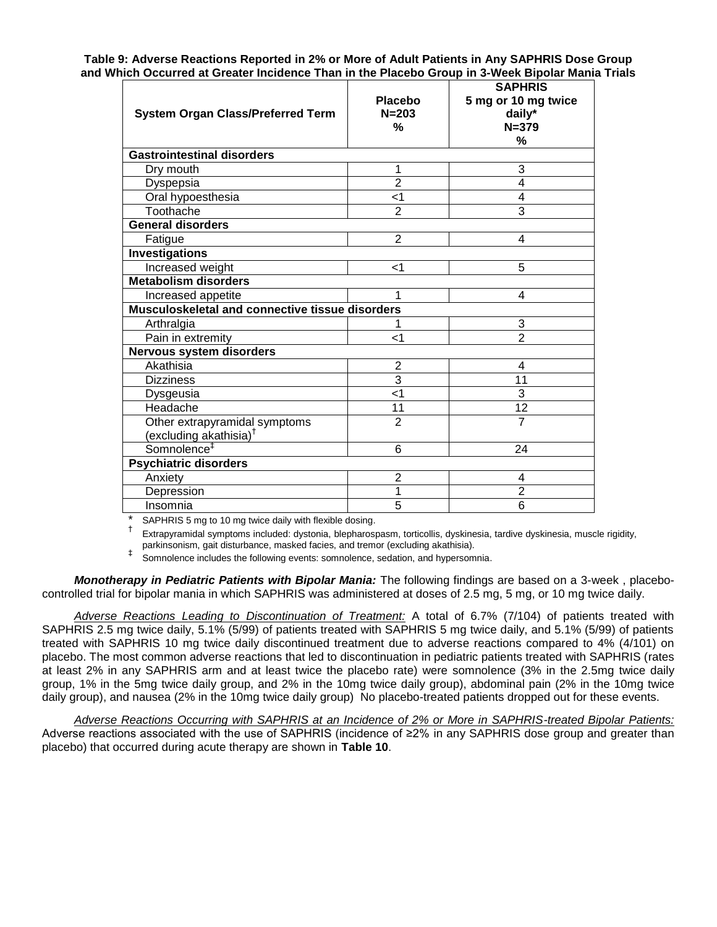**Table 9: Adverse Reactions Reported in 2% or More of Adult Patients in Any SAPHRIS Dose Group and Which Occurred at Greater Incidence Than in the Placebo Group in 3-Week Bipolar Mania Trials**

| <b>System Organ Class/Preferred Term</b>                            | Placebo<br>$N = 203$<br>% | <b>SAPHRIS</b><br>5 mg or 10 mg twice<br>daily*<br>$N = 379$<br>% |  |  |
|---------------------------------------------------------------------|---------------------------|-------------------------------------------------------------------|--|--|
| <b>Gastrointestinal disorders</b>                                   |                           |                                                                   |  |  |
| Dry mouth                                                           | 1                         | 3                                                                 |  |  |
| Dyspepsia                                                           | $\overline{2}$            | 4                                                                 |  |  |
| Oral hypoesthesia                                                   | ا>                        | 4                                                                 |  |  |
| Toothache                                                           | $\overline{2}$            | 3                                                                 |  |  |
| <b>General disorders</b>                                            |                           |                                                                   |  |  |
| Fatigue                                                             | $\overline{2}$            | 4                                                                 |  |  |
| <b>Investigations</b>                                               |                           |                                                                   |  |  |
| Increased weight                                                    | $<$ 1                     | 5                                                                 |  |  |
| <b>Metabolism disorders</b>                                         |                           |                                                                   |  |  |
| Increased appetite                                                  | 1                         | 4                                                                 |  |  |
| Musculoskeletal and connective tissue disorders                     |                           |                                                                   |  |  |
| Arthralgia                                                          | 1                         | 3                                                                 |  |  |
| Pain in extremity                                                   | $<$ 1                     | $\overline{2}$                                                    |  |  |
| Nervous system disorders                                            |                           |                                                                   |  |  |
| Akathisia                                                           | $\overline{2}$            | 4                                                                 |  |  |
| <b>Dizziness</b>                                                    | $\overline{3}$            | 11                                                                |  |  |
| Dysgeusia                                                           | <1                        | 3                                                                 |  |  |
| Headache                                                            | 11                        | 12                                                                |  |  |
| Other extrapyramidal symptoms<br>(excluding akathisia) <sup>†</sup> | $\overline{2}$            | 7                                                                 |  |  |
| Somnolence <sup>#</sup>                                             | 6                         | 24                                                                |  |  |
| <b>Psychiatric disorders</b>                                        |                           |                                                                   |  |  |
| Anxiety                                                             | $\overline{2}$            | 4                                                                 |  |  |
| Depression                                                          | 1                         | $\overline{2}$                                                    |  |  |
| Insomnia                                                            | 5                         | 6                                                                 |  |  |

\* SAPHRIS 5 mg to 10 mg twice daily with flexible dosing.

† Extrapyramidal symptoms included: dystonia, blepharospasm, torticollis, dyskinesia, tardive dyskinesia, muscle rigidity, parkinsonism, gait disturbance, masked facies, and tremor (excluding akathisia).

‡ Somnolence includes the following events: somnolence, sedation, and hypersomnia.

*Monotherapy in Pediatric Patients with Bipolar Mania:* The following findings are based on a 3-week , placebocontrolled trial for bipolar mania in which SAPHRIS was administered at doses of 2.5 mg, 5 mg, or 10 mg twice daily.

*Adverse Reactions Leading to Discontinuation of Treatment:* A total of 6.7% (7/104) of patients treated with SAPHRIS 2.5 mg twice daily, 5.1% (5/99) of patients treated with SAPHRIS 5 mg twice daily, and 5.1% (5/99) of patients treated with SAPHRIS 10 mg twice daily discontinued treatment due to adverse reactions compared to 4% (4/101) on placebo. The most common adverse reactions that led to discontinuation in pediatric patients treated with SAPHRIS (rates at least 2% in any SAPHRIS arm and at least twice the placebo rate) were somnolence (3% in the 2.5mg twice daily group, 1% in the 5mg twice daily group, and 2% in the 10mg twice daily group), abdominal pain (2% in the 10mg twice daily group), and nausea (2% in the 10mg twice daily group) No placebo-treated patients dropped out for these events.

*Adverse Reactions Occurring with SAPHRIS at an Incidence of 2% or More in SAPHRIS-treated Bipolar Patients:*  Adverse reactions associated with the use of SAPHRIS (incidence of ≥2% in any SAPHRIS dose group and greater than placebo) that occurred during acute therapy are shown in **Table 10**.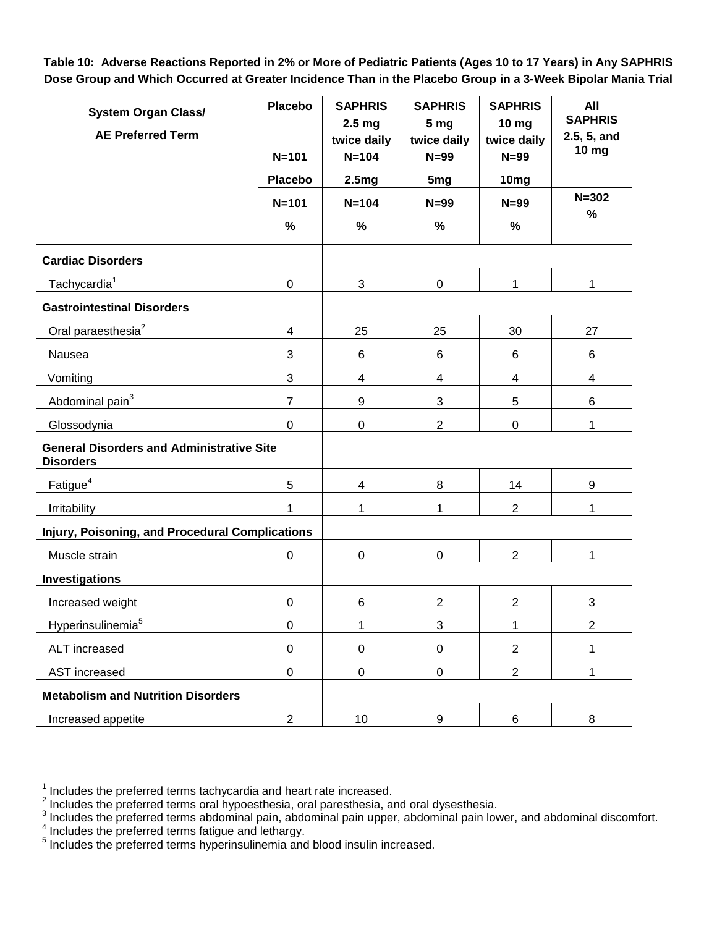**Table 10: Adverse Reactions Reported in 2% or More of Pediatric Patients (Ages 10 to 17 Years) in Any SAPHRIS Dose Group and Which Occurred at Greater Incidence Than in the Placebo Group in a 3-Week Bipolar Mania Trial**

| <b>System Organ Class/</b><br><b>AE Preferred Term</b>               | <b>Placebo</b><br>$N = 101$ | <b>SAPHRIS</b><br>2.5 <sub>mg</sub><br>twice daily<br>$N = 104$ | <b>SAPHRIS</b><br>5 <sub>mg</sub><br>twice daily<br>$N=99$ | <b>SAPHRIS</b><br>10 <sub>mg</sub><br>twice daily<br>$N=99$ | All<br><b>SAPHRIS</b><br>2.5, 5, and<br>10 mg |
|----------------------------------------------------------------------|-----------------------------|-----------------------------------------------------------------|------------------------------------------------------------|-------------------------------------------------------------|-----------------------------------------------|
|                                                                      | <b>Placebo</b>              | 2.5 <sub>mg</sub>                                               | 5 <sub>mg</sub>                                            | 10 <sub>mg</sub>                                            |                                               |
|                                                                      | $N = 101$                   | $N = 104$                                                       | $N=99$                                                     | $N=99$                                                      | $N = 302$                                     |
|                                                                      | %                           | $\%$                                                            | %                                                          | %                                                           | %                                             |
|                                                                      |                             |                                                                 |                                                            |                                                             |                                               |
| <b>Cardiac Disorders</b>                                             |                             |                                                                 |                                                            |                                                             |                                               |
| Tachycardia <sup>1</sup>                                             | 0                           | 3                                                               | $\mathbf 0$                                                | 1                                                           | 1                                             |
| <b>Gastrointestinal Disorders</b>                                    |                             |                                                                 |                                                            |                                                             |                                               |
| Oral paraesthesia <sup>2</sup>                                       | $\overline{4}$              | 25                                                              | 25                                                         | 30                                                          | 27                                            |
| Nausea                                                               | 3                           | 6                                                               | 6                                                          | 6                                                           | $\,6$                                         |
| Vomiting                                                             | 3                           | $\overline{4}$                                                  | 4                                                          | $\overline{4}$                                              | $\overline{4}$                                |
| Abdominal pain <sup>3</sup>                                          | $\overline{7}$              | 9                                                               | 3                                                          | 5                                                           | $6\phantom{1}$                                |
| Glossodynia                                                          | $\mathbf 0$                 | 0                                                               | $\overline{2}$                                             | $\boldsymbol{0}$                                            | 1                                             |
| <b>General Disorders and Administrative Site</b><br><b>Disorders</b> |                             |                                                                 |                                                            |                                                             |                                               |
| Fatigue <sup>4</sup>                                                 | 5                           | 4                                                               | 8                                                          | 14                                                          | $\boldsymbol{9}$                              |
| Irritability                                                         | 1                           | 1                                                               | 1                                                          | $\overline{2}$                                              | 1                                             |
| Injury, Poisoning, and Procedural Complications                      |                             |                                                                 |                                                            |                                                             |                                               |
| Muscle strain                                                        | $\pmb{0}$                   | 0                                                               | $\pmb{0}$                                                  | $\overline{2}$                                              | $\mathbf{1}$                                  |
| <b>Investigations</b>                                                |                             |                                                                 |                                                            |                                                             |                                               |
| Increased weight                                                     | $\mathbf 0$                 | 6                                                               | $\overline{2}$                                             | $\overline{2}$                                              | $\mathbf{3}$                                  |
| Hyperinsulinemia <sup>5</sup>                                        | $\pmb{0}$                   | 1                                                               | $\mathfrak{B}$                                             | 1                                                           | $\overline{2}$                                |
| ALT increased                                                        | $\boldsymbol{0}$            | $\pmb{0}$                                                       | $\boldsymbol{0}$                                           | $\overline{c}$                                              | 1                                             |
| AST increased                                                        | $\pmb{0}$                   | 0                                                               | $\pmb{0}$                                                  | $\overline{2}$                                              | $\mathbf{1}$                                  |
| <b>Metabolism and Nutrition Disorders</b>                            |                             |                                                                 |                                                            |                                                             |                                               |
| Increased appetite                                                   | $\mathbf{2}$                | 10                                                              | $\boldsymbol{9}$                                           | 6                                                           | 8                                             |

 $\overline{a}$ 

<sup>&</sup>lt;sup>1</sup> Includes the preferred terms tachycardia and heart rate increased.<br><sup>2</sup> Includes the preferred terms oral hypoesthesia, oral paresthesia, and oral dysesthesia.<br><sup>3</sup> Includes the preferred terms abdominal pain, abdominal

<sup>&</sup>lt;sup>4</sup> Includes the preferred terms fatigue and lethargy.

<sup>&</sup>lt;sup>5</sup> Includes the preferred terms hyperinsulinemia and blood insulin increased.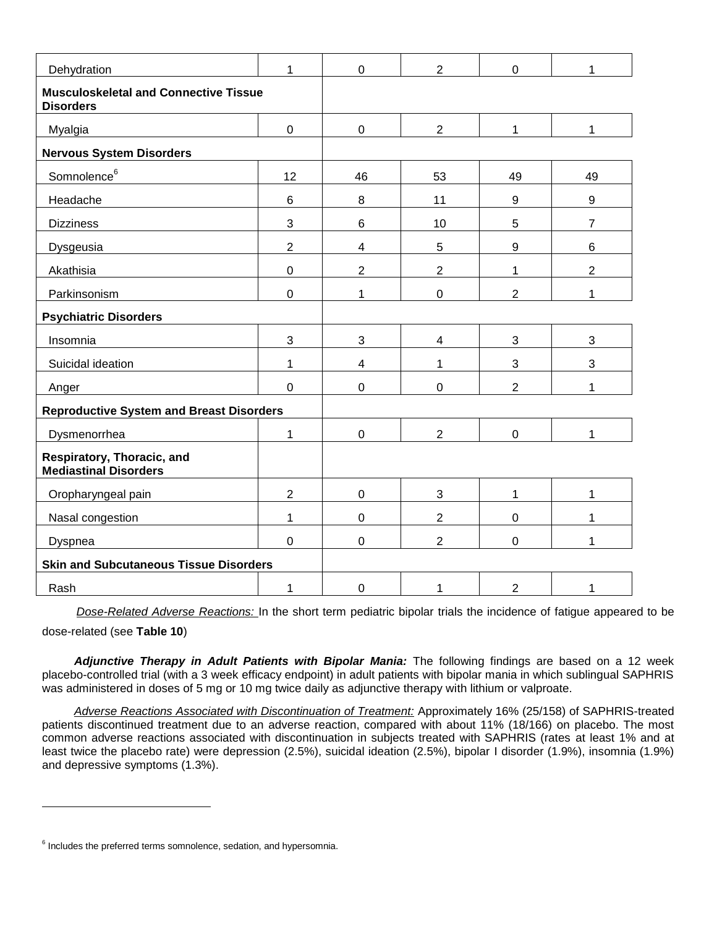| Dehydration                                                      | 1              | $\mathbf 0$    | $\overline{2}$          | $\mathbf 0$    | 1              |
|------------------------------------------------------------------|----------------|----------------|-------------------------|----------------|----------------|
| <b>Musculoskeletal and Connective Tissue</b><br><b>Disorders</b> |                |                |                         |                |                |
| Myalgia                                                          | $\mathbf 0$    | 0              | $\overline{2}$          | $\mathbf{1}$   | $\mathbf{1}$   |
| <b>Nervous System Disorders</b>                                  |                |                |                         |                |                |
| Somnolence <sup>6</sup>                                          | 12             | 46             | 53                      | 49             | 49             |
| Headache                                                         | 6              | 8              | 11                      | 9              | 9              |
| <b>Dizziness</b>                                                 | 3              | $\,6$          | 10                      | 5              | $\overline{7}$ |
| Dysgeusia                                                        | $\overline{2}$ | 4              | 5                       | 9              | 6              |
| Akathisia                                                        | $\mathbf 0$    | $\overline{2}$ | $\overline{2}$          | 1              | $\overline{2}$ |
| Parkinsonism                                                     | $\mathbf 0$    | 1              | $\boldsymbol{0}$        | $\overline{2}$ | 1              |
| <b>Psychiatric Disorders</b>                                     |                |                |                         |                |                |
| Insomnia                                                         | 3              | 3              | $\overline{\mathbf{4}}$ | 3              | 3              |
| Suicidal ideation                                                | 1              | 4              | 1                       | 3              | 3              |
| Anger                                                            | $\mathbf 0$    | 0              | $\mathbf 0$             | $\overline{2}$ | 1              |
| <b>Reproductive System and Breast Disorders</b>                  |                |                |                         |                |                |
| Dysmenorrhea                                                     | $\mathbf{1}$   | $\mathbf 0$    | $\overline{2}$          | $\mathbf 0$    | $\mathbf{1}$   |
| Respiratory, Thoracic, and<br><b>Mediastinal Disorders</b>       |                |                |                         |                |                |
| Oropharyngeal pain                                               | $\overline{2}$ | $\mathbf 0$    | 3                       | 1              | 1              |
| Nasal congestion                                                 | 1              | $\mathbf 0$    | $\overline{c}$          | $\mathbf 0$    | $\mathbf{1}$   |
| Dyspnea                                                          | $\mathbf 0$    | $\mathbf 0$    | $\overline{2}$          | $\mathbf 0$    | 1              |
| <b>Skin and Subcutaneous Tissue Disorders</b>                    |                |                |                         |                |                |
| Rash                                                             | $\mathbf{1}$   | $\mathbf 0$    | 1                       | $\overline{2}$ | 1              |

*Dose-Related Adverse Reactions:* In the short term pediatric bipolar trials the incidence of fatigue appeared to be dose-related (see **Table 10**)

*Adjunctive Therapy in Adult Patients with Bipolar Mania:* The following findings are based on a 12 week placebo-controlled trial (with a 3 week efficacy endpoint) in adult patients with bipolar mania in which sublingual SAPHRIS was administered in doses of 5 mg or 10 mg twice daily as adjunctive therapy with lithium or valproate.

*Adverse Reactions Associated with Discontinuation of Treatment:* Approximately 16% (25/158) of SAPHRIS-treated patients discontinued treatment due to an adverse reaction, compared with about 11% (18/166) on placebo. The most common adverse reactions associated with discontinuation in subjects treated with SAPHRIS (rates at least 1% and at least twice the placebo rate) were depression (2.5%), suicidal ideation (2.5%), bipolar I disorder (1.9%), insomnia (1.9%) and depressive symptoms (1.3%).

l

 $6$  Includes the preferred terms somnolence, sedation, and hypersomnia.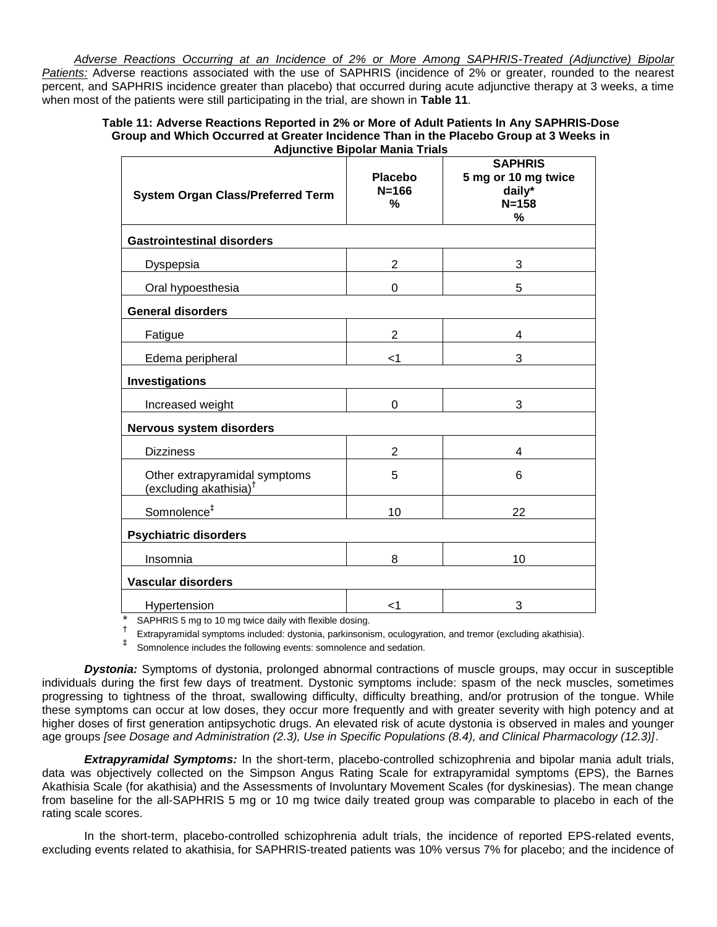*Adverse Reactions Occurring at an Incidence of 2% or More Among SAPHRIS-Treated (Adjunctive) Bipolar Patients:* Adverse reactions associated with the use of SAPHRIS (incidence of 2% or greater, rounded to the nearest percent, and SAPHRIS incidence greater than placebo) that occurred during acute adjunctive therapy at 3 weeks, a time when most of the patients were still participating in the trial, are shown in **Table 11**.

#### **Table 11: Adverse Reactions Reported in 2% or More of Adult Patients In Any SAPHRIS-Dose Group and Which Occurred at Greater Incidence Than in the Placebo Group at 3 Weeks in Adjunctive Bipolar Mania Trials**

| <b>System Organ Class/Preferred Term</b>                            | <b>Placebo</b><br>$N = 166$<br>$\frac{0}{0}$ | <b>SAPHRIS</b><br>5 mg or 10 mg twice<br>daily*<br>$N = 158$<br>% |  |  |
|---------------------------------------------------------------------|----------------------------------------------|-------------------------------------------------------------------|--|--|
| <b>Gastrointestinal disorders</b>                                   |                                              |                                                                   |  |  |
| Dyspepsia                                                           | $\overline{2}$                               | 3                                                                 |  |  |
| Oral hypoesthesia                                                   | $\Omega$                                     | 5                                                                 |  |  |
| <b>General disorders</b>                                            |                                              |                                                                   |  |  |
| Fatigue                                                             | $\overline{2}$                               | 4                                                                 |  |  |
| Edema peripheral                                                    | <1                                           | 3                                                                 |  |  |
| Investigations                                                      |                                              |                                                                   |  |  |
| Increased weight                                                    | 0                                            | 3                                                                 |  |  |
| Nervous system disorders                                            |                                              |                                                                   |  |  |
| <b>Dizziness</b>                                                    | $\overline{2}$                               | 4                                                                 |  |  |
| Other extrapyramidal symptoms<br>(excluding akathisia) <sup>†</sup> | 5                                            | 6                                                                 |  |  |
| Somnolence <sup>#</sup>                                             | 10                                           | 22                                                                |  |  |
| <b>Psychiatric disorders</b>                                        |                                              |                                                                   |  |  |
| Insomnia                                                            | 8                                            | 10                                                                |  |  |
| <b>Vascular disorders</b>                                           |                                              |                                                                   |  |  |
| Hypertension                                                        | <1                                           | 3                                                                 |  |  |

SAPHRIS 5 mg to 10 mg twice daily with flexible dosing.

† Extrapyramidal symptoms included: dystonia, parkinsonism, oculogyration, and tremor (excluding akathisia).

‡ Somnolence includes the following events: somnolence and sedation.

*Dystonia:* Symptoms of dystonia, prolonged abnormal contractions of muscle groups, may occur in susceptible individuals during the first few days of treatment. Dystonic symptoms include: spasm of the neck muscles, sometimes progressing to tightness of the throat, swallowing difficulty, difficulty breathing, and/or protrusion of the tongue. While these symptoms can occur at low doses, they occur more frequently and with greater severity with high potency and at higher doses of first generation antipsychotic drugs. An elevated risk of acute dystonia is observed in males and younger age groups *[see Dosage and Administration (2.3), Use in Specific Populations (8.4), and Clinical Pharmacology (12.3)]*.

*Extrapyramidal Symptoms:* In the short-term, placebo-controlled schizophrenia and bipolar mania adult trials, data was objectively collected on the Simpson Angus Rating Scale for extrapyramidal symptoms (EPS), the Barnes Akathisia Scale (for akathisia) and the Assessments of Involuntary Movement Scales (for dyskinesias). The mean change from baseline for the all-SAPHRIS 5 mg or 10 mg twice daily treated group was comparable to placebo in each of the rating scale scores.

In the short-term, placebo-controlled schizophrenia adult trials, the incidence of reported EPS-related events, excluding events related to akathisia, for SAPHRIS-treated patients was 10% versus 7% for placebo; and the incidence of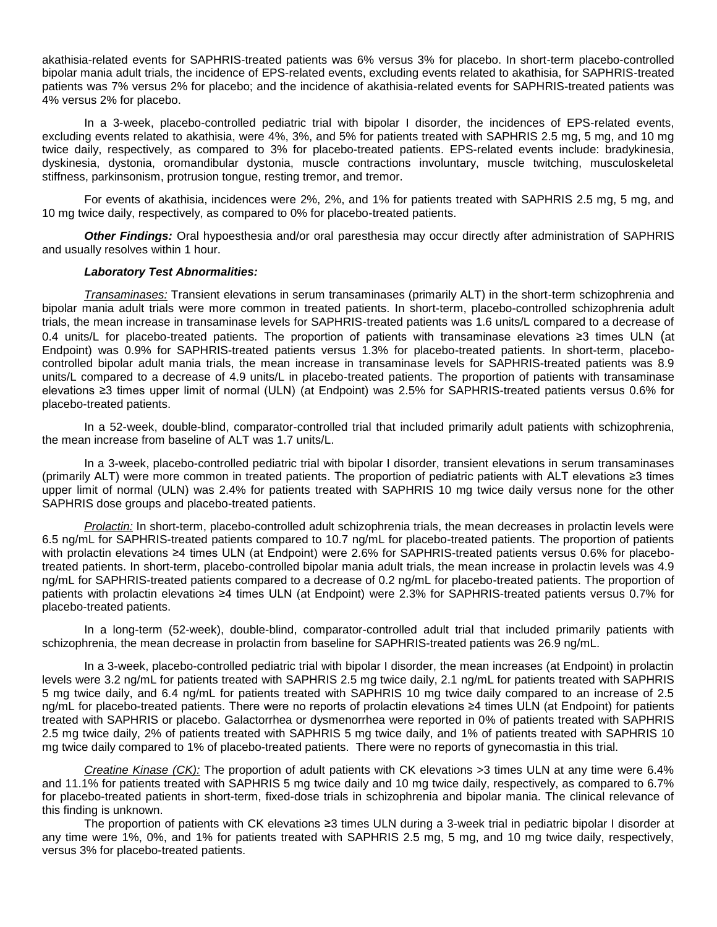akathisia-related events for SAPHRIS-treated patients was 6% versus 3% for placebo. In short-term placebo-controlled bipolar mania adult trials, the incidence of EPS-related events, excluding events related to akathisia, for SAPHRIS-treated patients was 7% versus 2% for placebo; and the incidence of akathisia-related events for SAPHRIS-treated patients was 4% versus 2% for placebo.

In a 3-week, placebo-controlled pediatric trial with bipolar I disorder, the incidences of EPS-related events, excluding events related to akathisia, were 4%, 3%, and 5% for patients treated with SAPHRIS 2.5 mg, 5 mg, and 10 mg twice daily, respectively, as compared to 3% for placebo-treated patients. EPS-related events include: bradykinesia, dyskinesia, dystonia, oromandibular dystonia, muscle contractions involuntary, muscle twitching, musculoskeletal stiffness, parkinsonism, protrusion tongue, resting tremor, and tremor.

For events of akathisia, incidences were 2%, 2%, and 1% for patients treated with SAPHRIS 2.5 mg, 5 mg, and 10 mg twice daily, respectively, as compared to 0% for placebo-treated patients.

*Other Findings:* Oral hypoesthesia and/or oral paresthesia may occur directly after administration of SAPHRIS and usually resolves within 1 hour.

#### *Laboratory Test Abnormalities:*

*Transaminases:* Transient elevations in serum transaminases (primarily ALT) in the short-term schizophrenia and bipolar mania adult trials were more common in treated patients. In short-term, placebo-controlled schizophrenia adult trials, the mean increase in transaminase levels for SAPHRIS-treated patients was 1.6 units/L compared to a decrease of 0.4 units/L for placebo-treated patients. The proportion of patients with transaminase elevations ≥3 times ULN (at Endpoint) was 0.9% for SAPHRIS-treated patients versus 1.3% for placebo-treated patients. In short-term, placebocontrolled bipolar adult mania trials, the mean increase in transaminase levels for SAPHRIS-treated patients was 8.9 units/L compared to a decrease of 4.9 units/L in placebo-treated patients. The proportion of patients with transaminase elevations ≥3 times upper limit of normal (ULN) (at Endpoint) was 2.5% for SAPHRIS-treated patients versus 0.6% for placebo-treated patients.

In a 52-week, double-blind, comparator-controlled trial that included primarily adult patients with schizophrenia, the mean increase from baseline of ALT was 1.7 units/L.

In a 3-week, placebo-controlled pediatric trial with bipolar I disorder, transient elevations in serum transaminases (primarily ALT) were more common in treated patients. The proportion of pediatric patients with ALT elevations ≥3 times upper limit of normal (ULN) was 2.4% for patients treated with SAPHRIS 10 mg twice daily versus none for the other SAPHRIS dose groups and placebo-treated patients.

*Prolactin:* In short-term, placebo-controlled adult schizophrenia trials, the mean decreases in prolactin levels were 6.5 ng/mL for SAPHRIS-treated patients compared to 10.7 ng/mL for placebo-treated patients. The proportion of patients with prolactin elevations ≥4 times ULN (at Endpoint) were 2.6% for SAPHRIS-treated patients versus 0.6% for placebotreated patients. In short-term, placebo-controlled bipolar mania adult trials, the mean increase in prolactin levels was 4.9 ng/mL for SAPHRIS-treated patients compared to a decrease of 0.2 ng/mL for placebo-treated patients. The proportion of patients with prolactin elevations ≥4 times ULN (at Endpoint) were 2.3% for SAPHRIS-treated patients versus 0.7% for placebo-treated patients.

In a long-term (52-week), double-blind, comparator-controlled adult trial that included primarily patients with schizophrenia, the mean decrease in prolactin from baseline for SAPHRIS-treated patients was 26.9 ng/mL.

In a 3-week, placebo-controlled pediatric trial with bipolar I disorder, the mean increases (at Endpoint) in prolactin levels were 3.2 ng/mL for patients treated with SAPHRIS 2.5 mg twice daily, 2.1 ng/mL for patients treated with SAPHRIS 5 mg twice daily, and 6.4 ng/mL for patients treated with SAPHRIS 10 mg twice daily compared to an increase of 2.5 ng/mL for placebo-treated patients. There were no reports of prolactin elevations ≥4 times ULN (at Endpoint) for patients treated with SAPHRIS or placebo. Galactorrhea or dysmenorrhea were reported in 0% of patients treated with SAPHRIS 2.5 mg twice daily, 2% of patients treated with SAPHRIS 5 mg twice daily, and 1% of patients treated with SAPHRIS 10 mg twice daily compared to 1% of placebo-treated patients. There were no reports of gynecomastia in this trial.

*Creatine Kinase (CK):* The proportion of adult patients with CK elevations >3 times ULN at any time were 6.4% and 11.1% for patients treated with SAPHRIS 5 mg twice daily and 10 mg twice daily, respectively, as compared to 6.7% for placebo-treated patients in short-term, fixed-dose trials in schizophrenia and bipolar mania. The clinical relevance of this finding is unknown.

The proportion of patients with CK elevations ≥3 times ULN during a 3-week trial in pediatric bipolar I disorder at any time were 1%, 0%, and 1% for patients treated with SAPHRIS 2.5 mg, 5 mg, and 10 mg twice daily, respectively, versus 3% for placebo-treated patients.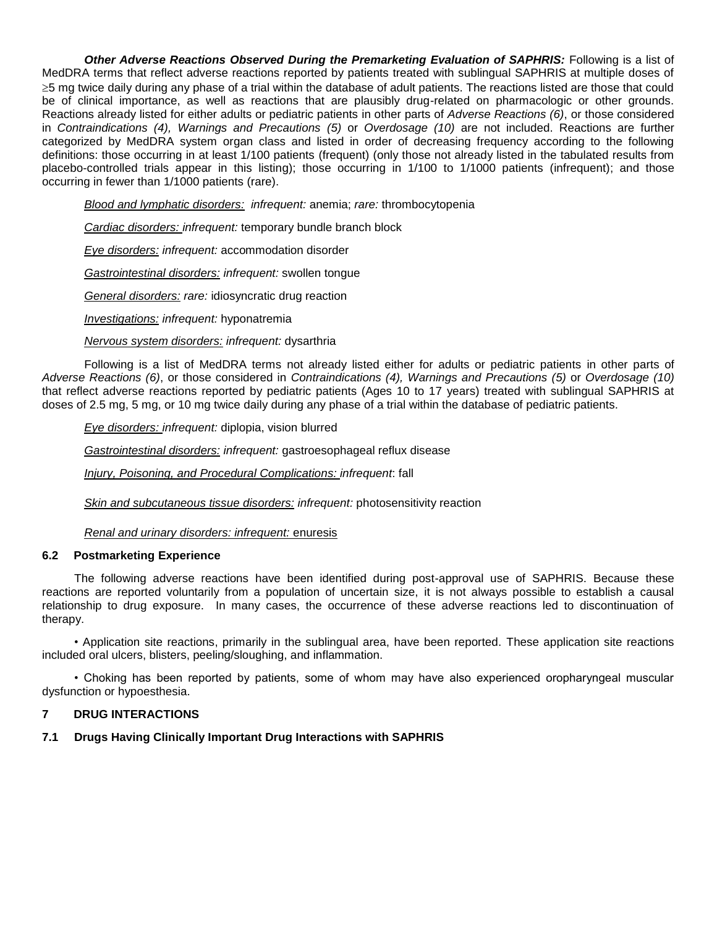*Other Adverse Reactions Observed During the Premarketing Evaluation of SAPHRIS:* Following is a list of MedDRA terms that reflect adverse reactions reported by patients treated with sublingual SAPHRIS at multiple doses of  $\geq$ 5 mg twice daily during any phase of a trial within the database of adult patients. The reactions listed are those that could be of clinical importance, as well as reactions that are plausibly drug-related on pharmacologic or other grounds. Reactions already listed for either adults or pediatric patients in other parts of *Adverse Reactions (6)*, or those considered in *Contraindications (4), Warnings and Precautions (5)* or *Overdosage (10)* are not included. Reactions are further categorized by MedDRA system organ class and listed in order of decreasing frequency according to the following definitions: those occurring in at least 1/100 patients (frequent) (only those not already listed in the tabulated results from placebo-controlled trials appear in this listing); those occurring in 1/100 to 1/1000 patients (infrequent); and those occurring in fewer than 1/1000 patients (rare).

*Blood and lymphatic disorders: infrequent:* anemia; *rare:* thrombocytopenia

*Cardiac disorders: infrequent:* temporary bundle branch block

*Eye disorders: infrequent:* accommodation disorder

*Gastrointestinal disorders: infrequent:* swollen tongue

*General disorders: rare:* idiosyncratic drug reaction

*Investigations: infrequent:* hyponatremia

*Nervous system disorders: infrequent:* dysarthria

Following is a list of MedDRA terms not already listed either for adults or pediatric patients in other parts of *Adverse Reactions (6)*, or those considered in *Contraindications (4), Warnings and Precautions (5)* or *Overdosage (10)* that reflect adverse reactions reported by pediatric patients (Ages 10 to 17 years) treated with sublingual SAPHRIS at doses of 2.5 mg, 5 mg, or 10 mg twice daily during any phase of a trial within the database of pediatric patients.

*Eye disorders: infrequent:* diplopia, vision blurred

*Gastrointestinal disorders: infrequent:* gastroesophageal reflux disease

*Injury, Poisoning, and Procedural Complications: infrequent*: fall

*Skin and subcutaneous tissue disorders: infrequent:* photosensitivity reaction

*Renal and urinary disorders: infrequent:* enuresis

#### **6.2 Postmarketing Experience**

The following adverse reactions have been identified during post-approval use of SAPHRIS. Because these reactions are reported voluntarily from a population of uncertain size, it is not always possible to establish a causal relationship to drug exposure. In many cases, the occurrence of these adverse reactions led to discontinuation of therapy.

• Application site reactions, primarily in the sublingual area, have been reported. These application site reactions included oral ulcers, blisters, peeling/sloughing, and inflammation.

• Choking has been reported by patients, some of whom may have also experienced oropharyngeal muscular dysfunction or hypoesthesia.

### **7 DRUG INTERACTIONS**

### **7.1 Drugs Having Clinically Important Drug Interactions with SAPHRIS**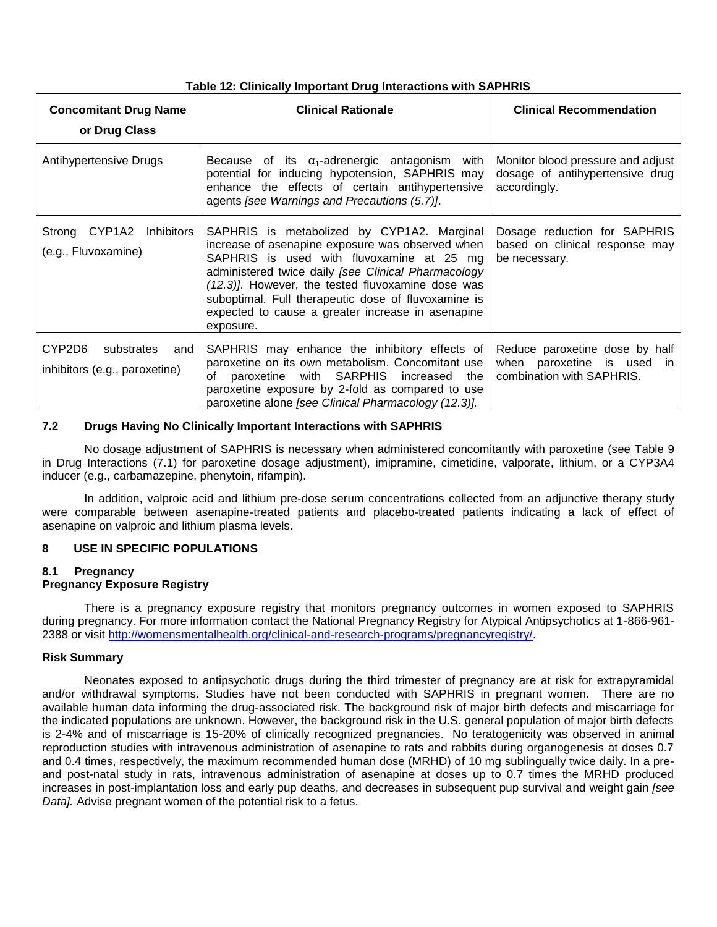|  | Table 12: Clinically Important Drug Interactions with SAPHRIS |
|--|---------------------------------------------------------------|
|--|---------------------------------------------------------------|

| <b>Concomitant Drug Name</b><br>or Drug Class                | <b>Clinical Rationale</b>                                                                                                                                                                                                                                                                                                                                                        | <b>Clinical Recommendation</b>                                                            |  |
|--------------------------------------------------------------|----------------------------------------------------------------------------------------------------------------------------------------------------------------------------------------------------------------------------------------------------------------------------------------------------------------------------------------------------------------------------------|-------------------------------------------------------------------------------------------|--|
| Antihypertensive Drugs                                       | Because of its $\alpha_1$ -adrenergic antagonism with<br>potential for inducing hypotension, SAPHRIS may<br>enhance the effects of certain antihypertensive<br>agents [see Warnings and Precautions (5.7)].                                                                                                                                                                      | Monitor blood pressure and adjust<br>dosage of antihypertensive drug<br>accordingly.      |  |
| Strong CYP1A2<br>Inhibitors<br>(e.g., Fluvoxamine)           | SAPHRIS is metabolized by CYP1A2. Marginal<br>increase of asenapine exposure was observed when<br>SAPHRIS is used with fluvoxamine at 25 mg<br>administered twice daily [see Clinical Pharmacology<br>(12.3)]. However, the tested fluvoxamine dose was<br>suboptimal. Full therapeutic dose of fluvoxamine is<br>expected to cause a greater increase in asenapine<br>exposure. | Dosage reduction for SAPHRIS<br>based on clinical response may<br>be necessary.           |  |
| CYP2D6<br>substrates<br>and<br>inhibitors (e.g., paroxetine) | SAPHRIS may enhance the inhibitory effects of<br>paroxetine on its own metabolism. Concomitant use<br>paroxetine with SARPHIS<br>of<br>increased<br>the<br>paroxetine exposure by 2-fold as compared to use<br>paroxetine alone [see Clinical Pharmacology (12.3)].                                                                                                              | Reduce paroxetine dose by half<br>when paroxetine is used in<br>combination with SAPHRIS. |  |

## **7.2 Drugs Having No Clinically Important Interactions with SAPHRIS**

No dosage adjustment of SAPHRIS is necessary when administered concomitantly with paroxetine (see Table 9 in Drug Interactions (7.1) for paroxetine dosage adjustment), imipramine, cimetidine, valporate, lithium, or a CYP3A4 inducer (e.g., carbamazepine, phenytoin, rifampin).

In addition, valproic acid and lithium pre-dose serum concentrations collected from an adjunctive therapy study were comparable between asenapine-treated patients and placebo-treated patients indicating a lack of effect of asenapine on valproic and lithium plasma levels.

## **8 USE IN SPECIFIC POPULATIONS**

### **8.1 Pregnancy Pregnancy Exposure Registry**

There is a pregnancy exposure registry that monitors pregnancy outcomes in women exposed to SAPHRIS during pregnancy. For more information contact the National Pregnancy Registry for Atypical Antipsychotics at 1-866-961- 2388 or visit [http://womensmentalhealth.org/clinical-and-research-programs/pregnancyregistry/.](http://womensmentalhealth.org/clinical-and-research-programs/pregnancyregistry/)

### **Risk Summary**

Neonates exposed to antipsychotic drugs during the third trimester of pregnancy are at risk for extrapyramidal and/or withdrawal symptoms. Studies have not been conducted with SAPHRIS in pregnant women. There are no available human data informing the drug-associated risk. The background risk of major birth defects and miscarriage for the indicated populations are unknown. However, the background risk in the U.S. general population of major birth defects is 2-4% and of miscarriage is 15-20% of clinically recognized pregnancies. No teratogenicity was observed in animal reproduction studies with intravenous administration of asenapine to rats and rabbits during organogenesis at doses 0.7 and 0.4 times, respectively, the maximum recommended human dose (MRHD) of 10 mg sublingually twice daily. In a preand post-natal study in rats, intravenous administration of asenapine at doses up to 0.7 times the MRHD produced increases in post-implantation loss and early pup deaths, and decreases in subsequent pup survival and weight gain *[see Data].* Advise pregnant women of the potential risk to a fetus.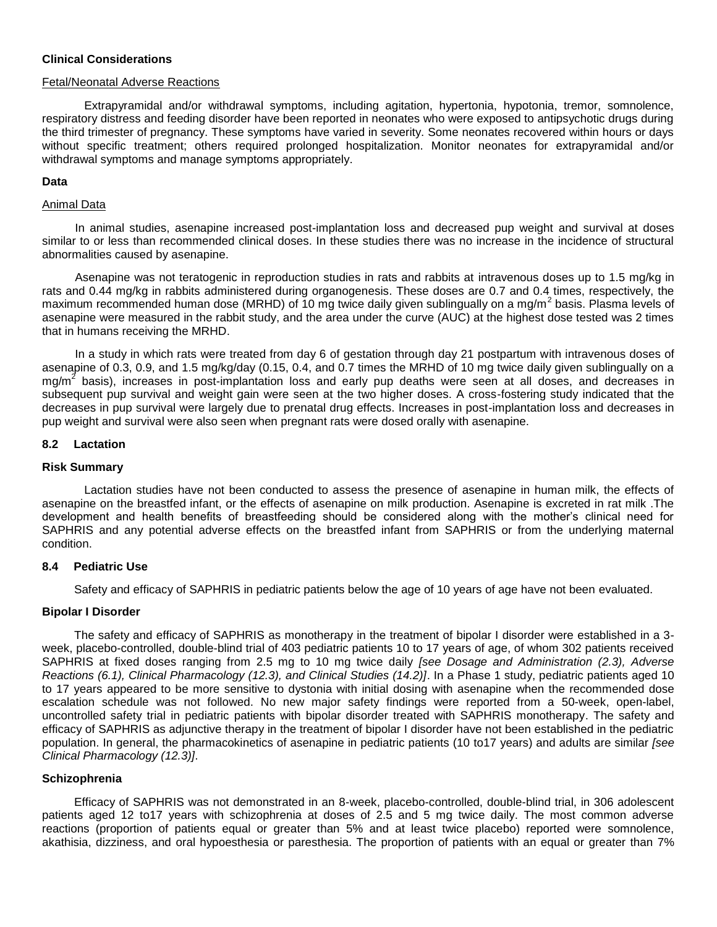#### **Clinical Considerations**

#### Fetal/Neonatal Adverse Reactions

Extrapyramidal and/or withdrawal symptoms, including agitation, hypertonia, hypotonia, tremor, somnolence, respiratory distress and feeding disorder have been reported in neonates who were exposed to antipsychotic drugs during the third trimester of pregnancy. These symptoms have varied in severity. Some neonates recovered within hours or days without specific treatment; others required prolonged hospitalization. Monitor neonates for extrapyramidal and/or withdrawal symptoms and manage symptoms appropriately.

### **Data**

#### Animal Data

In animal studies, asenapine increased post-implantation loss and decreased pup weight and survival at doses similar to or less than recommended clinical doses. In these studies there was no increase in the incidence of structural abnormalities caused by asenapine.

Asenapine was not teratogenic in reproduction studies in rats and rabbits at intravenous doses up to 1.5 mg/kg in rats and 0.44 mg/kg in rabbits administered during organogenesis. These doses are 0.7 and 0.4 times, respectively, the maximum recommended human dose (MRHD) of 10 mg twice daily given sublingually on a mg/m<sup>2</sup> basis. Plasma levels of asenapine were measured in the rabbit study, and the area under the curve (AUC) at the highest dose tested was 2 times that in humans receiving the MRHD.

In a study in which rats were treated from day 6 of gestation through day 21 postpartum with intravenous doses of asenapine of 0.3, 0.9, and 1.5 mg/kg/day (0.15, 0.4, and 0.7 times the MRHD of 10 mg twice daily given sublingually on a mg/m<sup>2</sup> basis), increases in post-implantation loss and early pup deaths were seen at all doses, and decreases in subsequent pup survival and weight gain were seen at the two higher doses. A cross-fostering study indicated that the decreases in pup survival were largely due to prenatal drug effects. Increases in post-implantation loss and decreases in pup weight and survival were also seen when pregnant rats were dosed orally with asenapine.

#### **8.2 Lactation**

#### **Risk Summary**

Lactation studies have not been conducted to assess the presence of asenapine in human milk, the effects of asenapine on the breastfed infant, or the effects of asenapine on milk production. Asenapine is excreted in rat milk .The development and health benefits of breastfeeding should be considered along with the mother's clinical need for SAPHRIS and any potential adverse effects on the breastfed infant from SAPHRIS or from the underlying maternal condition.

### **8.4 Pediatric Use**

Safety and efficacy of SAPHRIS in pediatric patients below the age of 10 years of age have not been evaluated.

### **Bipolar I Disorder**

The safety and efficacy of SAPHRIS as monotherapy in the treatment of bipolar I disorder were established in a 3 week, placebo-controlled, double-blind trial of 403 pediatric patients 10 to 17 years of age, of whom 302 patients received SAPHRIS at fixed doses ranging from 2.5 mg to 10 mg twice daily *[see Dosage and Administration (2.3), Adverse Reactions (6.1), Clinical Pharmacology (12.3), and Clinical Studies (14.2)]*. In a Phase 1 study, pediatric patients aged 10 to 17 years appeared to be more sensitive to dystonia with initial dosing with asenapine when the recommended dose escalation schedule was not followed. No new major safety findings were reported from a 50-week, open-label, uncontrolled safety trial in pediatric patients with bipolar disorder treated with SAPHRIS monotherapy. The safety and efficacy of SAPHRIS as adjunctive therapy in the treatment of bipolar I disorder have not been established in the pediatric population. In general, the pharmacokinetics of asenapine in pediatric patients (10 to17 years) and adults are similar *[see Clinical Pharmacology (12.3)]*.

### **Schizophrenia**

Efficacy of SAPHRIS was not demonstrated in an 8-week, placebo-controlled, double-blind trial, in 306 adolescent patients aged 12 to17 years with schizophrenia at doses of 2.5 and 5 mg twice daily. The most common adverse reactions (proportion of patients equal or greater than 5% and at least twice placebo) reported were somnolence, akathisia, dizziness, and oral hypoesthesia or paresthesia. The proportion of patients with an equal or greater than 7%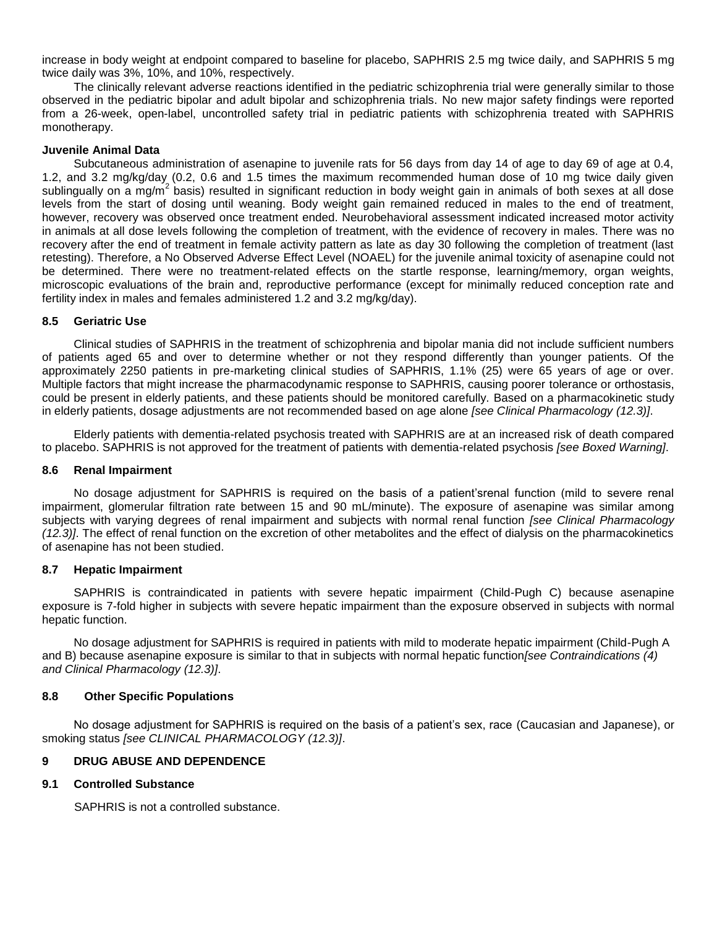increase in body weight at endpoint compared to baseline for placebo, SAPHRIS 2.5 mg twice daily, and SAPHRIS 5 mg twice daily was 3%, 10%, and 10%, respectively.

The clinically relevant adverse reactions identified in the pediatric schizophrenia trial were generally similar to those observed in the pediatric bipolar and adult bipolar and schizophrenia trials. No new major safety findings were reported from a 26-week, open-label, uncontrolled safety trial in pediatric patients with schizophrenia treated with SAPHRIS monotherapy.

### **Juvenile Animal Data**

Subcutaneous administration of asenapine to juvenile rats for 56 days from day 14 of age to day 69 of age at 0.4, 1.2, and 3.2 mg/kg/day (0.2, 0.6 and 1.5 times the maximum recommended human dose of 10 mg twice daily given sublingually on a mg/m<sup>2</sup> basis) resulted in significant reduction in body weight gain in animals of both sexes at all dose levels from the start of dosing until weaning. Body weight gain remained reduced in males to the end of treatment, however, recovery was observed once treatment ended. Neurobehavioral assessment indicated increased motor activity in animals at all dose levels following the completion of treatment, with the evidence of recovery in males. There was no recovery after the end of treatment in female activity pattern as late as day 30 following the completion of treatment (last retesting). Therefore, a No Observed Adverse Effect Level (NOAEL) for the juvenile animal toxicity of asenapine could not be determined. There were no treatment-related effects on the startle response, learning/memory, organ weights, microscopic evaluations of the brain and, reproductive performance (except for minimally reduced conception rate and fertility index in males and females administered 1.2 and 3.2 mg/kg/day).

#### **8.5 Geriatric Use**

Clinical studies of SAPHRIS in the treatment of schizophrenia and bipolar mania did not include sufficient numbers of patients aged 65 and over to determine whether or not they respond differently than younger patients. Of the approximately 2250 patients in pre-marketing clinical studies of SAPHRIS, 1.1% (25) were 65 years of age or over. Multiple factors that might increase the pharmacodynamic response to SAPHRIS, causing poorer tolerance or orthostasis, could be present in elderly patients, and these patients should be monitored carefully. Based on a pharmacokinetic study in elderly patients, dosage adjustments are not recommended based on age alone *[see Clinical Pharmacology (12.3)]*.

Elderly patients with dementia-related psychosis treated with SAPHRIS are at an increased risk of death compared to placebo. SAPHRIS is not approved for the treatment of patients with dementia-related psychosis *[see Boxed Warning]*.

#### **8.6 Renal Impairment**

No dosage adjustment for SAPHRIS is required on the basis of a patient'srenal function (mild to severe renal impairment, glomerular filtration rate between 15 and 90 mL/minute). The exposure of asenapine was similar among subjects with varying degrees of renal impairment and subjects with normal renal function *[see Clinical Pharmacology (12.3)]*. The effect of renal function on the excretion of other metabolites and the effect of dialysis on the pharmacokinetics of asenapine has not been studied.

### **8.7 Hepatic Impairment**

SAPHRIS is contraindicated in patients with severe hepatic impairment (Child-Pugh C) because asenapine exposure is 7-fold higher in subjects with severe hepatic impairment than the exposure observed in subjects with normal hepatic function.

No dosage adjustment for SAPHRIS is required in patients with mild to moderate hepatic impairment (Child-Pugh A and B) because asenapine exposure is similar to that in subjects with normal hepatic function*[see Contraindications (4) and Clinical Pharmacology (12.3)]*.

### **8.8 Other Specific Populations**

No dosage adjustment for SAPHRIS is required on the basis of a patient's sex, race (Caucasian and Japanese), or smoking status *[see CLINICAL PHARMACOLOGY (12.3)]*.

### **9 DRUG ABUSE AND DEPENDENCE**

#### **9.1 Controlled Substance**

SAPHRIS is not a controlled substance.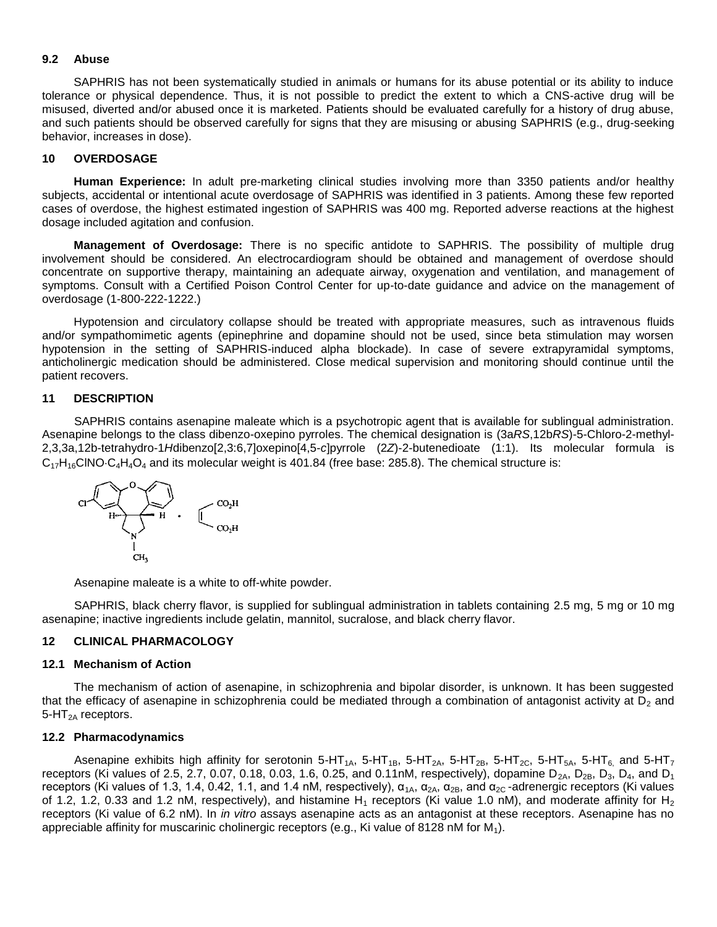#### **9.2 Abuse**

SAPHRIS has not been systematically studied in animals or humans for its abuse potential or its ability to induce tolerance or physical dependence. Thus, it is not possible to predict the extent to which a CNS-active drug will be misused, diverted and/or abused once it is marketed. Patients should be evaluated carefully for a history of drug abuse, and such patients should be observed carefully for signs that they are misusing or abusing SAPHRIS (e.g., drug-seeking behavior, increases in dose).

#### **10 OVERDOSAGE**

**Human Experience:** In adult pre-marketing clinical studies involving more than 3350 patients and/or healthy subjects, accidental or intentional acute overdosage of SAPHRIS was identified in 3 patients. Among these few reported cases of overdose, the highest estimated ingestion of SAPHRIS was 400 mg. Reported adverse reactions at the highest dosage included agitation and confusion.

**Management of Overdosage:** There is no specific antidote to SAPHRIS. The possibility of multiple drug involvement should be considered. An electrocardiogram should be obtained and management of overdose should concentrate on supportive therapy, maintaining an adequate airway, oxygenation and ventilation, and management of symptoms. Consult with a Certified Poison Control Center for up-to-date guidance and advice on the management of overdosage (1-800-222-1222.)

Hypotension and circulatory collapse should be treated with appropriate measures, such as intravenous fluids and/or sympathomimetic agents (epinephrine and dopamine should not be used, since beta stimulation may worsen hypotension in the setting of SAPHRIS-induced alpha blockade). In case of severe extrapyramidal symptoms, anticholinergic medication should be administered. Close medical supervision and monitoring should continue until the patient recovers.

#### **11 DESCRIPTION**

SAPHRIS contains asenapine maleate which is a psychotropic agent that is available for sublingual administration. Asenapine belongs to the class dibenzo-oxepino pyrroles. The chemical designation is (3a*RS*,12b*RS*)-5-Chloro-2-methyl-2,3,3a,12b-tetrahydro-1*H*dibenzo[2,3:6,7]oxepino[4,5-*c*]pyrrole (2*Z*)-2-butenedioate (1:1). Its molecular formula is  $C_{17}H_{16}CINO \cdot C_4H_4O_4$  and its molecular weight is 401.84 (free base: 285.8). The chemical structure is:

Asenapine maleate is a white to off-white powder.

SAPHRIS, black cherry flavor, is supplied for sublingual administration in tablets containing 2.5 mg, 5 mg or 10 mg asenapine; inactive ingredients include gelatin, mannitol, sucralose, and black cherry flavor.

#### **12 CLINICAL PHARMACOLOGY**

#### **12.1 Mechanism of Action**

The mechanism of action of asenapine, in schizophrenia and bipolar disorder, is unknown. It has been suggested that the efficacy of asenapine in schizophrenia could be mediated through a combination of antagonist activity at  $D<sub>2</sub>$  and  $5-HT<sub>2A</sub>$  receptors.

#### **12.2 Pharmacodynamics**

Asenapine exhibits high affinity for serotonin 5-HT<sub>1A</sub>, 5-HT<sub>1B</sub>, 5-HT<sub>2A</sub>, 5-HT<sub>2B</sub>, 5-HT<sub>2C</sub>, 5-HT<sub>5A</sub>, 5-HT<sub>6</sub> and 5-HT<sub>7</sub> receptors (Ki values of 2.5, 2.7, 0.07, 0.18, 0.03, 1.6, 0.25, and 0.11nM, respectively), dopamine  $D_{2A}$ ,  $D_{2B}$ ,  $D_3$ ,  $D_4$ , and  $D_1$ receptors (Ki values of 1.3, 1.4, 0.42, 1.1, and 1.4 nM, respectively),  $\alpha_{1A}$ ,  $\alpha_{2A}$ ,  $\alpha_{2B}$ , and  $\alpha_{2C}$ -adrenergic receptors (Ki values of 1.2, 1.2, 0.33 and 1.2 nM, respectively), and histamine  $H_1$  receptors (Ki value 1.0 nM), and moderate affinity for  $H_2$ receptors (Ki value of 6.2 nM). In *in vitro* assays asenapine acts as an antagonist at these receptors. Asenapine has no appreciable affinity for muscarinic cholinergic receptors (e.g., Ki value of 8128 nM for  $M_1$ ).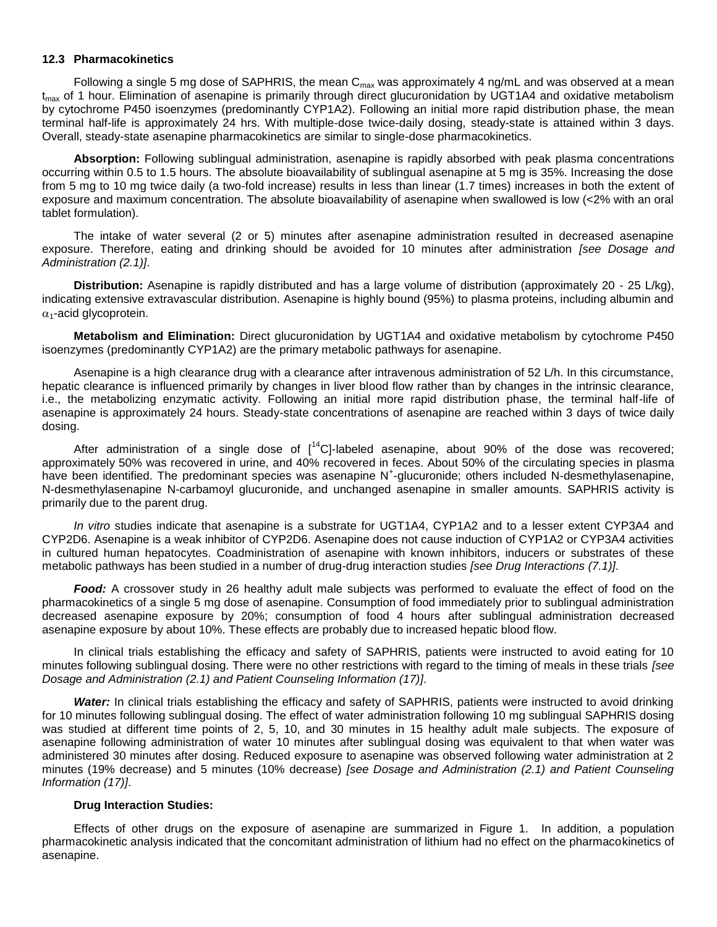#### **12.3 Pharmacokinetics**

Following a single 5 mg dose of SAPHRIS, the mean  $C_{\text{max}}$  was approximately 4 ng/mL and was observed at a mean  $t_{max}$  of 1 hour. Elimination of asenapine is primarily through direct glucuronidation by UGT1A4 and oxidative metabolism by cytochrome P450 isoenzymes (predominantly CYP1A2). Following an initial more rapid distribution phase, the mean terminal half-life is approximately 24 hrs. With multiple-dose twice-daily dosing, steady-state is attained within 3 days. Overall, steady-state asenapine pharmacokinetics are similar to single-dose pharmacokinetics.

**Absorption:** Following sublingual administration, asenapine is rapidly absorbed with peak plasma concentrations occurring within 0.5 to 1.5 hours. The absolute bioavailability of sublingual asenapine at 5 mg is 35%. Increasing the dose from 5 mg to 10 mg twice daily (a two-fold increase) results in less than linear (1.7 times) increases in both the extent of exposure and maximum concentration. The absolute bioavailability of asenapine when swallowed is low (<2% with an oral tablet formulation).

The intake of water several (2 or 5) minutes after asenapine administration resulted in decreased asenapine exposure. Therefore, eating and drinking should be avoided for 10 minutes after administration *[see Dosage and Administration (2.1)]*.

**Distribution:** Asenapine is rapidly distributed and has a large volume of distribution (approximately 20 - 25 L/kg), indicating extensive extravascular distribution. Asenapine is highly bound (95%) to plasma proteins, including albumin and  $\alpha_1$ -acid glycoprotein.

**Metabolism and Elimination:** Direct glucuronidation by UGT1A4 and oxidative metabolism by cytochrome P450 isoenzymes (predominantly CYP1A2) are the primary metabolic pathways for asenapine.

Asenapine is a high clearance drug with a clearance after intravenous administration of 52 L/h. In this circumstance, hepatic clearance is influenced primarily by changes in liver blood flow rather than by changes in the intrinsic clearance, i.e., the metabolizing enzymatic activity. Following an initial more rapid distribution phase, the terminal half-life of asenapine is approximately 24 hours. Steady-state concentrations of asenapine are reached within 3 days of twice daily dosing.

After administration of a single dose of  $1^{14}$ C]-labeled asenapine, about 90% of the dose was recovered; approximately 50% was recovered in urine, and 40% recovered in feces. About 50% of the circulating species in plasma have been identified. The predominant species was asenapine N<sup>+</sup>-glucuronide; others included N-desmethylasenapine, N-desmethylasenapine N-carbamoyl glucuronide, and unchanged asenapine in smaller amounts. SAPHRIS activity is primarily due to the parent drug.

*In vitro* studies indicate that asenapine is a substrate for UGT1A4, CYP1A2 and to a lesser extent CYP3A4 and CYP2D6. Asenapine is a weak inhibitor of CYP2D6. Asenapine does not cause induction of CYP1A2 or CYP3A4 activities in cultured human hepatocytes. Coadministration of asenapine with known inhibitors, inducers or substrates of these metabolic pathways has been studied in a number of drug-drug interaction studies *[see Drug Interactions (7.1)]*.

*Food:* A crossover study in 26 healthy adult male subjects was performed to evaluate the effect of food on the pharmacokinetics of a single 5 mg dose of asenapine. Consumption of food immediately prior to sublingual administration decreased asenapine exposure by 20%; consumption of food 4 hours after sublingual administration decreased asenapine exposure by about 10%. These effects are probably due to increased hepatic blood flow.

In clinical trials establishing the efficacy and safety of SAPHRIS, patients were instructed to avoid eating for 10 minutes following sublingual dosing. There were no other restrictions with regard to the timing of meals in these trials *[see Dosage and Administration (2.1) and Patient Counseling Information (17)]*.

*Water:* In clinical trials establishing the efficacy and safety of SAPHRIS, patients were instructed to avoid drinking for 10 minutes following sublingual dosing. The effect of water administration following 10 mg sublingual SAPHRIS dosing was studied at different time points of 2, 5, 10, and 30 minutes in 15 healthy adult male subjects. The exposure of asenapine following administration of water 10 minutes after sublingual dosing was equivalent to that when water was administered 30 minutes after dosing. Reduced exposure to asenapine was observed following water administration at 2 minutes (19% decrease) and 5 minutes (10% decrease) *[see Dosage and Administration (2.1) and Patient Counseling Information (17)]*.

### **Drug Interaction Studies:**

Effects of other drugs on the exposure of asenapine are summarized in Figure 1. In addition, a population pharmacokinetic analysis indicated that the concomitant administration of lithium had no effect on the pharmacokinetics of asenapine.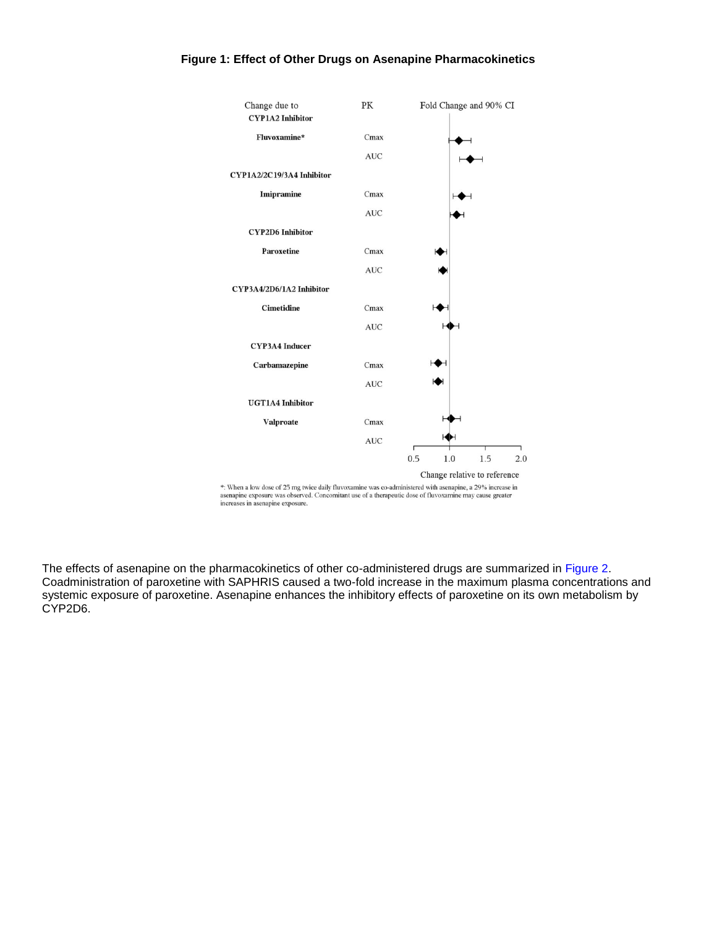

#### **Figure 1: Effect of Other Drugs on Asenapine Pharmacokinetics**

\*: When a low dose of 25 mg twice daily fluvoxamine was co-administered with asenapine, a 29% increase in asenapine exposure was observed. Concomitant use of a therapeutic dose of fluvoxamine may cause greater increases in asenapine exposure.

The effects of asenapine on the pharmacokinetics of other co-administered drugs are summarized in Figure 2. Coadministration of paroxetine with SAPHRIS caused a two-fold increase in the maximum plasma concentrations and systemic exposure of paroxetine. Asenapine enhances the inhibitory effects of paroxetine on its own metabolism by CYP2D6.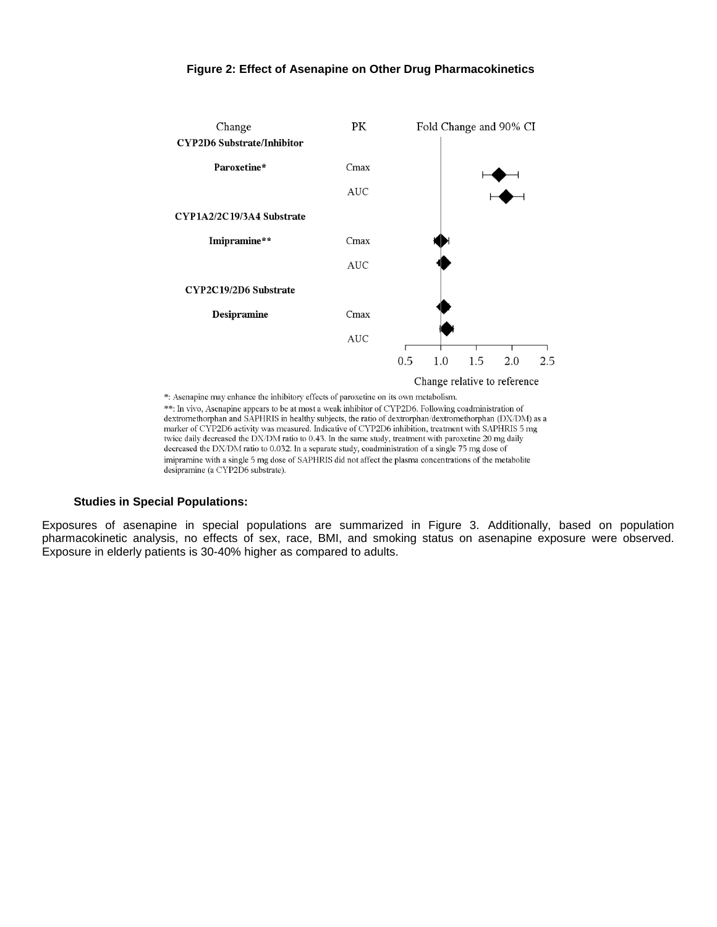#### **Figure 2: Effect of Asenapine on Other Drug Pharmacokinetics**



Change relative to reference

\*: Asenapine may enhance the inhibitory effects of paroxetine on its own metabolism. \*\*: In vivo, Asenapine appears to be at most a weak inhibitor of CYP2D6. Following coadministration of dextromethorphan and SAPHRIS in healthy subjects, the ratio of dextrorphan/dextromethorphan (DX/DM) as a marker of CYP2D6 activity was measured. Indicative of CYP2D6 inhibition, treatment with SAPHRIS 5 mg twice daily decreased the DX/DM ratio to 0.43. In the same study, treatment with paroxetine 20 mg daily decreased the DX/DM ratio to 0.032. In a separate study, coadministration of a single 75 mg dose of imipramine with a single 5 mg dose of SAPHRIS did not affect the plasma concentrations of the metabolite desipramine (a CYP2D6 substrate).

#### **Studies in Special Populations:**

Exposures of asenapine in special populations are summarized in Figure 3. Additionally, based on population pharmacokinetic analysis, no effects of sex, race, BMI, and smoking status on asenapine exposure were observed. Exposure in elderly patients is 30-40% higher as compared to adults.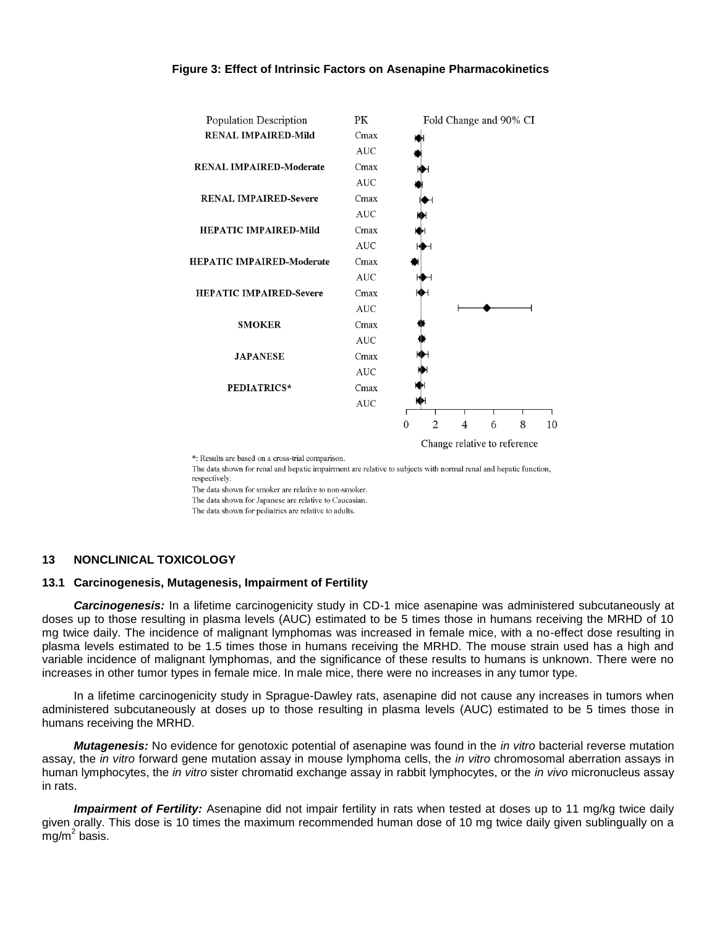#### **Figure 3: Effect of Intrinsic Factors on Asenapine Pharmacokinetics**



\*: Results are based on a cross-trial comparison.

The data shown for renal and hepatic impairment are relative to subjects with normal renal and hepatic function, respectively.

The data shown for smoker are relative to non-smoker.

The data shown for Japanese are relative to Caucasian.

The data shown for pediatrics are relative to adults.

### **13 NONCLINICAL TOXICOLOGY**

#### **13.1 Carcinogenesis, Mutagenesis, Impairment of Fertility**

*Carcinogenesis:* In a lifetime carcinogenicity study in CD-1 mice asenapine was administered subcutaneously at doses up to those resulting in plasma levels (AUC) estimated to be 5 times those in humans receiving the MRHD of 10 mg twice daily. The incidence of malignant lymphomas was increased in female mice, with a no-effect dose resulting in plasma levels estimated to be 1.5 times those in humans receiving the MRHD. The mouse strain used has a high and variable incidence of malignant lymphomas, and the significance of these results to humans is unknown. There were no increases in other tumor types in female mice. In male mice, there were no increases in any tumor type.

In a lifetime carcinogenicity study in Sprague-Dawley rats, asenapine did not cause any increases in tumors when administered subcutaneously at doses up to those resulting in plasma levels (AUC) estimated to be 5 times those in humans receiving the MRHD.

*Mutagenesis:* No evidence for genotoxic potential of asenapine was found in the *in vitro* bacterial reverse mutation assay, the *in vitro* forward gene mutation assay in mouse lymphoma cells, the *in vitro* chromosomal aberration assays in human lymphocytes, the *in vitro* sister chromatid exchange assay in rabbit lymphocytes, or the *in vivo* micronucleus assay in rats.

*Impairment of Fertility:* Asenapine did not impair fertility in rats when tested at doses up to 11 mg/kg twice daily given orally. This dose is 10 times the maximum recommended human dose of 10 mg twice daily given sublingually on a  $mg/m^2$  basis.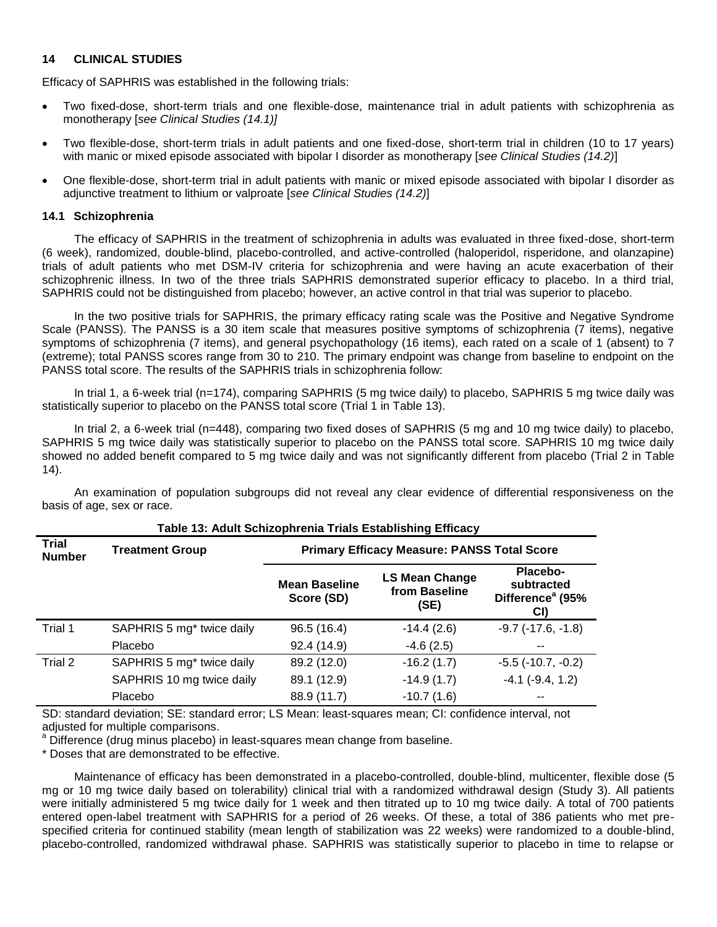## **14 CLINICAL STUDIES**

Efficacy of SAPHRIS was established in the following trials:

- Two fixed-dose, short-term trials and one flexible-dose, maintenance trial in adult patients with schizophrenia as monotherapy [*see Clinical Studies (14.1)]*
- Two flexible-dose, short-term trials in adult patients and one fixed-dose, short-term trial in children (10 to 17 years) with manic or mixed episode associated with bipolar I disorder as monotherapy [*see Clinical Studies (14.2)*]
- One flexible-dose, short-term trial in adult patients with manic or mixed episode associated with bipolar I disorder as adjunctive treatment to lithium or valproate [*see Clinical Studies (14.2)*]

### **14.1 Schizophrenia**

The efficacy of SAPHRIS in the treatment of schizophrenia in adults was evaluated in three fixed-dose, short-term (6 week), randomized, double-blind, placebo-controlled, and active-controlled (haloperidol, risperidone, and olanzapine) trials of adult patients who met DSM-IV criteria for schizophrenia and were having an acute exacerbation of their schizophrenic illness. In two of the three trials SAPHRIS demonstrated superior efficacy to placebo. In a third trial, SAPHRIS could not be distinguished from placebo; however, an active control in that trial was superior to placebo.

In the two positive trials for SAPHRIS, the primary efficacy rating scale was the Positive and Negative Syndrome Scale (PANSS). The PANSS is a 30 item scale that measures positive symptoms of schizophrenia (7 items), negative symptoms of schizophrenia (7 items), and general psychopathology (16 items), each rated on a scale of 1 (absent) to 7 (extreme); total PANSS scores range from 30 to 210. The primary endpoint was change from baseline to endpoint on the PANSS total score. The results of the SAPHRIS trials in schizophrenia follow:

In trial 1, a 6-week trial (n=174), comparing SAPHRIS (5 mg twice daily) to placebo, SAPHRIS 5 mg twice daily was statistically superior to placebo on the PANSS total score (Trial 1 in Table 13).

In trial 2, a 6-week trial (n=448), comparing two fixed doses of SAPHRIS (5 mg and 10 mg twice daily) to placebo, SAPHRIS 5 mg twice daily was statistically superior to placebo on the PANSS total score. SAPHRIS 10 mg twice daily showed no added benefit compared to 5 mg twice daily and was not significantly different from placebo (Trial 2 in Table 14).

An examination of population subgroups did not reveal any clear evidence of differential responsiveness on the basis of age, sex or race.

| <b>Trial</b><br><b>Number</b> | <b>Treatment Group</b>    | <b>Primary Efficacy Measure: PANSS Total Score</b> |                                                |                                                               |
|-------------------------------|---------------------------|----------------------------------------------------|------------------------------------------------|---------------------------------------------------------------|
|                               |                           | <b>Mean Baseline</b><br>Score (SD)                 | <b>LS Mean Change</b><br>from Baseline<br>(SE) | Placebo-<br>subtracted<br>Difference <sup>a</sup> (95%<br>CI) |
| Trial 1                       | SAPHRIS 5 mg* twice daily | 96.5(16.4)                                         | $-14.4(2.6)$                                   | $-9.7$ ( $-17.6$ , $-1.8$ )                                   |
|                               | Placebo                   | 92.4 (14.9)                                        | $-4.6(2.5)$                                    |                                                               |
| Trial 2                       | SAPHRIS 5 mg* twice daily | 89.2 (12.0)                                        | $-16.2(1.7)$                                   | $-5.5$ ( $-10.7, -0.2$ )                                      |
|                               | SAPHRIS 10 mg twice daily | 89.1 (12.9)                                        | $-14.9(1.7)$                                   | $-4.1$ $(-9.4, 1.2)$                                          |
|                               | Placebo                   | 88.9 (11.7)                                        | $-10.7(1.6)$                                   |                                                               |

#### **Table 13: Adult Schizophrenia Trials Establishing Efficacy**

SD: standard deviation; SE: standard error; LS Mean: least-squares mean; CI: confidence interval, not adjusted for multiple comparisons.

<sup>a</sup> Difference (drug minus placebo) in least-squares mean change from baseline.

\* Doses that are demonstrated to be effective.

Maintenance of efficacy has been demonstrated in a placebo-controlled, double-blind, multicenter, flexible dose (5 mg or 10 mg twice daily based on tolerability) clinical trial with a randomized withdrawal design (Study 3). All patients were initially administered 5 mg twice daily for 1 week and then titrated up to 10 mg twice daily. A total of 700 patients entered open-label treatment with SAPHRIS for a period of 26 weeks. Of these, a total of 386 patients who met prespecified criteria for continued stability (mean length of stabilization was 22 weeks) were randomized to a double-blind, placebo-controlled, randomized withdrawal phase. SAPHRIS was statistically superior to placebo in time to relapse or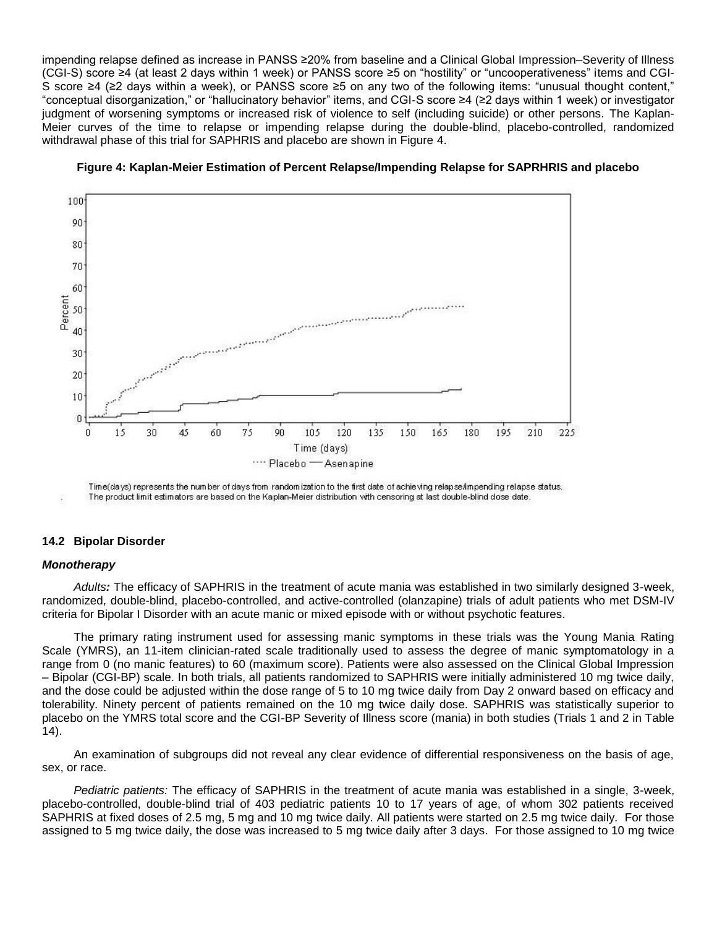impending relapse defined as increase in PANSS ≥20% from baseline and a Clinical Global Impression–Severity of Illness (CGI-S) score ≥4 (at least 2 days within 1 week) or PANSS score ≥5 on "hostility" or "uncooperativeness" items and CGI-S score ≥4 (≥2 days within a week), or PANSS score ≥5 on any two of the following items: "unusual thought content," "conceptual disorganization," or "hallucinatory behavior" items, and CGI-S score ≥4 (≥2 days within 1 week) or investigator judgment of worsening symptoms or increased risk of violence to self (including suicide) or other persons. The Kaplan-Meier curves of the time to relapse or impending relapse during the double-blind, placebo-controlled, randomized withdrawal phase of this trial for SAPHRIS and placebo are shown in Figure 4.





#### **14.2 Bipolar Disorder**

#### *Monotherapy*

*Adults:* The efficacy of SAPHRIS in the treatment of acute mania was established in two similarly designed 3-week, randomized, double-blind, placebo-controlled, and active-controlled (olanzapine) trials of adult patients who met DSM-IV criteria for Bipolar I Disorder with an acute manic or mixed episode with or without psychotic features.

The primary rating instrument used for assessing manic symptoms in these trials was the Young Mania Rating Scale (YMRS), an 11-item clinician-rated scale traditionally used to assess the degree of manic symptomatology in a range from 0 (no manic features) to 60 (maximum score). Patients were also assessed on the Clinical Global Impression – Bipolar (CGI-BP) scale. In both trials, all patients randomized to SAPHRIS were initially administered 10 mg twice daily, and the dose could be adjusted within the dose range of 5 to 10 mg twice daily from Day 2 onward based on efficacy and tolerability. Ninety percent of patients remained on the 10 mg twice daily dose. SAPHRIS was statistically superior to placebo on the YMRS total score and the CGI-BP Severity of Illness score (mania) in both studies (Trials 1 and 2 in Table 14).

An examination of subgroups did not reveal any clear evidence of differential responsiveness on the basis of age, sex, or race.

*Pediatric patients:* The efficacy of SAPHRIS in the treatment of acute mania was established in a single, 3-week, placebo-controlled, double-blind trial of 403 pediatric patients 10 to 17 years of age, of whom 302 patients received SAPHRIS at fixed doses of 2.5 mg, 5 mg and 10 mg twice daily. All patients were started on 2.5 mg twice daily. For those assigned to 5 mg twice daily, the dose was increased to 5 mg twice daily after 3 days. For those assigned to 10 mg twice

Time(days) represents the number of days from randomization to the first date of achieving relapse/impending relapse status. The product limit estimators are based on the Kaplan-Meier distribution with censoring at last double-blind dose date.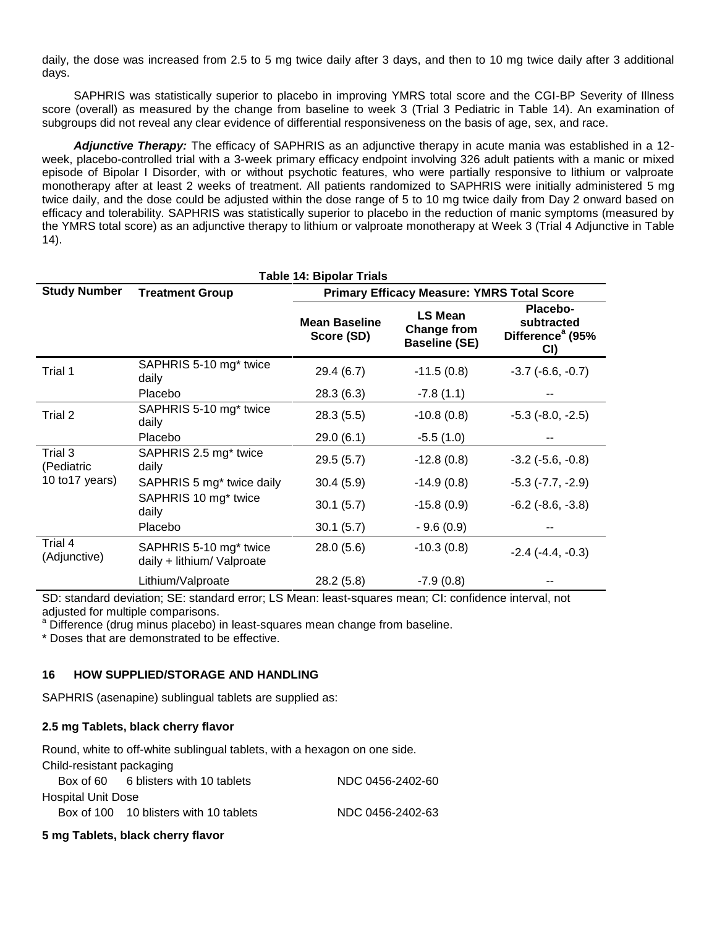daily, the dose was increased from 2.5 to 5 mg twice daily after 3 days, and then to 10 mg twice daily after 3 additional days.

SAPHRIS was statistically superior to placebo in improving YMRS total score and the CGI-BP Severity of Illness score (overall) as measured by the change from baseline to week 3 (Trial 3 Pediatric in Table 14). An examination of subgroups did not reveal any clear evidence of differential responsiveness on the basis of age, sex, and race.

*Adjunctive Therapy:* The efficacy of SAPHRIS as an adjunctive therapy in acute mania was established in a 12 week, placebo-controlled trial with a 3-week primary efficacy endpoint involving 326 adult patients with a manic or mixed episode of Bipolar I Disorder, with or without psychotic features, who were partially responsive to lithium or valproate monotherapy after at least 2 weeks of treatment. All patients randomized to SAPHRIS were initially administered 5 mg twice daily, and the dose could be adjusted within the dose range of 5 to 10 mg twice daily from Day 2 onward based on efficacy and tolerability. SAPHRIS was statistically superior to placebo in the reduction of manic symptoms (measured by the YMRS total score) as an adjunctive therapy to lithium or valproate monotherapy at Week 3 (Trial 4 Adjunctive in Table 14).

| <b>Table 14: Bipolar Trials</b> |                                                      |                                                   |                                                       |                                                               |  |
|---------------------------------|------------------------------------------------------|---------------------------------------------------|-------------------------------------------------------|---------------------------------------------------------------|--|
| <b>Study Number</b>             | <b>Treatment Group</b>                               | <b>Primary Efficacy Measure: YMRS Total Score</b> |                                                       |                                                               |  |
|                                 |                                                      | <b>Mean Baseline</b><br>Score (SD)                | LS Mean<br><b>Change from</b><br><b>Baseline (SE)</b> | Placebo-<br>subtracted<br>Difference <sup>a</sup> (95%<br>CI) |  |
| Trial 1                         | SAPHRIS 5-10 mg* twice<br>daily                      | 29.4(6.7)                                         | $-11.5(0.8)$                                          | $-3.7$ $(-6.6, -0.7)$                                         |  |
|                                 | Placebo                                              | 28.3(6.3)                                         | $-7.8(1.1)$                                           |                                                               |  |
| Trial 2                         | SAPHRIS 5-10 mg* twice<br>daily                      | 28.3(5.5)                                         | $-10.8(0.8)$                                          | $-5.3$ $(-8.0, -2.5)$                                         |  |
|                                 | Placebo                                              | 29.0(6.1)                                         | $-5.5(1.0)$                                           |                                                               |  |
| Trial 3<br>(Pediatric           | SAPHRIS 2.5 mg* twice<br>daily                       | 29.5(5.7)                                         | $-12.8(0.8)$                                          | $-3.2$ ( $-5.6$ , $-0.8$ )                                    |  |
| 10 to 17 years)                 | SAPHRIS 5 mg* twice daily                            | 30.4(5.9)                                         | $-14.9(0.8)$                                          | $-5.3$ $(-7.7, -2.9)$                                         |  |
|                                 | SAPHRIS 10 mg* twice<br>daily                        | 30.1(5.7)                                         | $-15.8(0.9)$                                          | $-6.2$ $(-8.6, -3.8)$                                         |  |
|                                 | Placebo                                              | 30.1(5.7)                                         | $-9.6(0.9)$                                           |                                                               |  |
| Trial 4<br>(Adjunctive)         | SAPHRIS 5-10 mg* twice<br>daily + lithium/ Valproate | 28.0(5.6)                                         | $-10.3(0.8)$                                          | $-2.4$ ( $-4.4$ , $-0.3$ )                                    |  |
|                                 | Lithium/Valproate                                    | 28.2(5.8)                                         | $-7.9(0.8)$                                           |                                                               |  |

SD: standard deviation; SE: standard error; LS Mean: least-squares mean; CI: confidence interval, not adjusted for multiple comparisons.

<sup>a</sup> Difference (drug minus placebo) in least-squares mean change from baseline.

\* Doses that are demonstrated to be effective.

### **16 HOW SUPPLIED/STORAGE AND HANDLING**

SAPHRIS (asenapine) sublingual tablets are supplied as:

### **2.5 mg Tablets, black cherry flavor**

Round, white to off-white sublingual tablets, with a hexagon on one side. Child-resistant packaging

| Box of 60          | 6 blisters with 10 tablets             | NDC 0456-2402-60 |
|--------------------|----------------------------------------|------------------|
| Hospital Unit Dose |                                        |                  |
|                    | Box of 100 10 blisters with 10 tablets | NDC 0456-2402-63 |

#### **5 mg Tablets, black cherry flavor**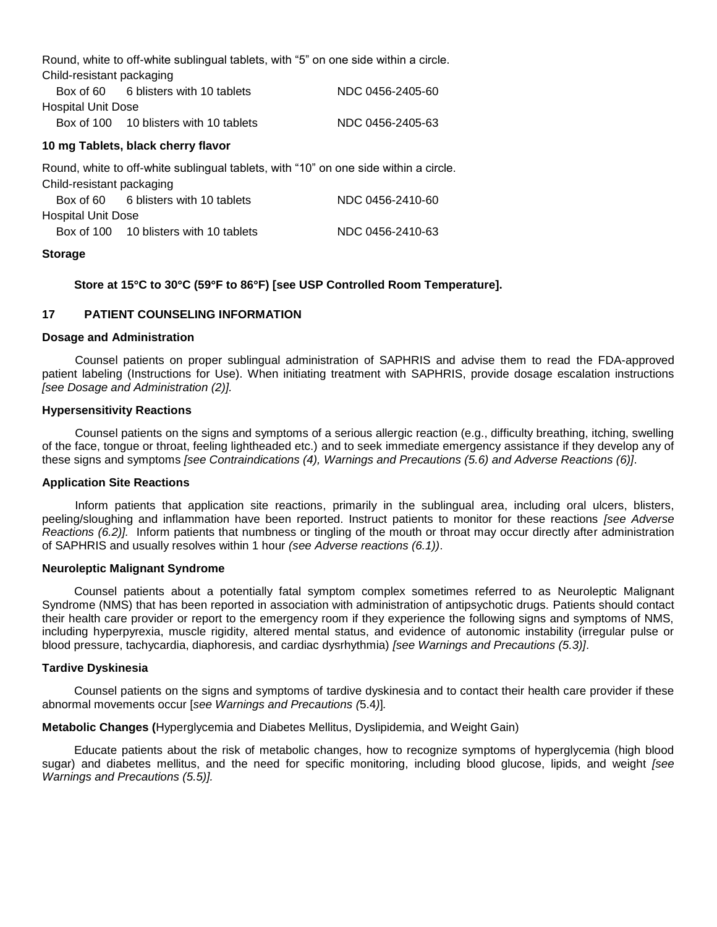Round, white to off-white sublingual tablets, with "5" on one side within a circle. Child-resistant packaging

| Box of 60          | 6 blisters with 10 tablets             | NDC 0456-2405-60 |
|--------------------|----------------------------------------|------------------|
| Hospital Unit Dose |                                        |                  |
|                    | Box of 100 10 blisters with 10 tablets | NDC 0456-2405-63 |
|                    |                                        |                  |

#### **10 mg Tablets, black cherry flavor**

Round, white to off-white sublingual tablets, with "10" on one side within a circle. Child-resistant packaging Box of 60 6 blisters with 10 tablets NDC 0456-2410-60 Hospital Unit Dose Box of 100 10 blisters with 10 tablets NDC 0456-2410-63

#### **Storage**

## **Store at 15C to 30C (59F to 86F) [see USP Controlled Room Temperature].**

## **17 PATIENT COUNSELING INFORMATION**

#### **Dosage and Administration**

Counsel patients on proper sublingual administration of SAPHRIS and advise them to read the FDA-approved patient labeling (Instructions for Use). When initiating treatment with SAPHRIS, provide dosage escalation instructions *[see Dosage and Administration (2)].*

#### **Hypersensitivity Reactions**

Counsel patients on the signs and symptoms of a serious allergic reaction (e.g., difficulty breathing, itching, swelling of the face, tongue or throat, feeling lightheaded etc.) and to seek immediate emergency assistance if they develop any of these signs and symptoms *[see Contraindications (4), Warnings and Precautions (5.6) and Adverse Reactions (6)]*.

#### **Application Site Reactions**

Inform patients that application site reactions, primarily in the sublingual area, including oral ulcers, blisters, peeling/sloughing and inflammation have been reported. Instruct patients to monitor for these reactions *[see Adverse Reactions (6.2)].* Inform patients that numbness or tingling of the mouth or throat may occur directly after administration of SAPHRIS and usually resolves within 1 hour *(see Adverse reactions (6.1))*.

#### **Neuroleptic Malignant Syndrome**

Counsel patients about a potentially fatal symptom complex sometimes referred to as Neuroleptic Malignant Syndrome (NMS) that has been reported in association with administration of antipsychotic drugs. Patients should contact their health care provider or report to the emergency room if they experience the following signs and symptoms of NMS, including hyperpyrexia, muscle rigidity, altered mental status, and evidence of autonomic instability (irregular pulse or blood pressure, tachycardia, diaphoresis, and cardiac dysrhythmia) *[see Warnings and Precautions (5.3)]*.

### **Tardive Dyskinesia**

Counsel patients on the signs and symptoms of tardive dyskinesia and to contact their health care provider if these abnormal movements occur [*see Warnings and Precautions (*5.4*)*]*.*

### **Metabolic Changes (**Hyperglycemia and Diabetes Mellitus, Dyslipidemia, and Weight Gain)

Educate patients about the risk of metabolic changes, how to recognize symptoms of hyperglycemia (high blood sugar) and diabetes mellitus, and the need for specific monitoring, including blood glucose, lipids, and weight *[see Warnings and Precautions (5.5)].*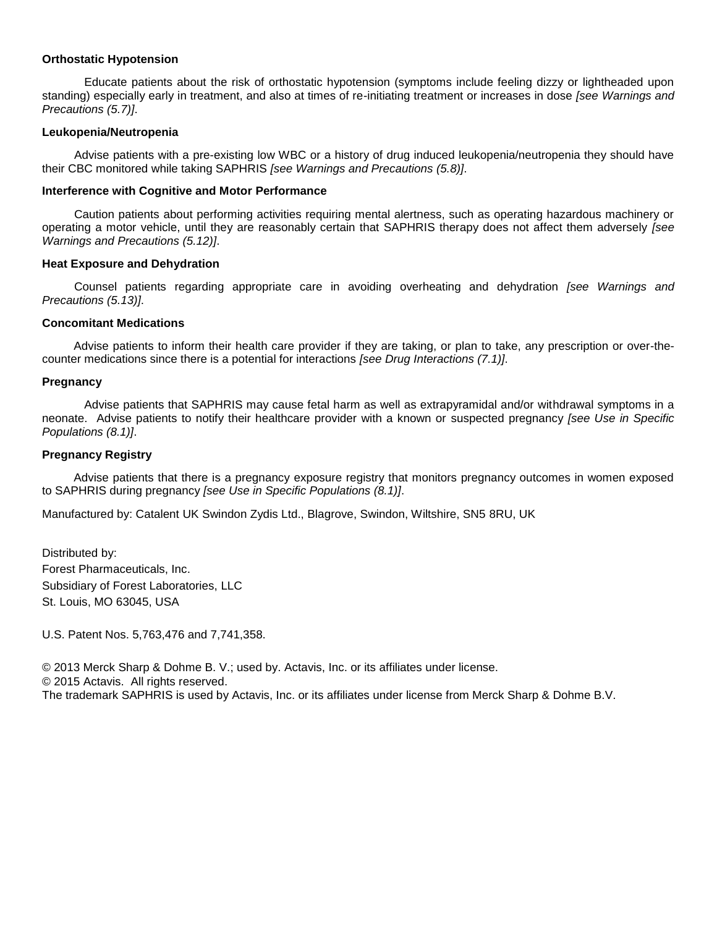#### **Orthostatic Hypotension**

Educate patients about the risk of orthostatic hypotension (symptoms include feeling dizzy or lightheaded upon standing) especially early in treatment, and also at times of re-initiating treatment or increases in dose *[see Warnings and Precautions (5.7)]*.

#### **Leukopenia/Neutropenia**

Advise patients with a pre-existing low WBC or a history of drug induced leukopenia/neutropenia they should have their CBC monitored while taking SAPHRIS *[see Warnings and Precautions (5.8)]*.

#### **Interference with Cognitive and Motor Performance**

Caution patients about performing activities requiring mental alertness, such as operating hazardous machinery or operating a motor vehicle, until they are reasonably certain that SAPHRIS therapy does not affect them adversely *[see Warnings and Precautions (5.12)]*.

#### **Heat Exposure and Dehydration**

Counsel patients regarding appropriate care in avoiding overheating and dehydration *[see Warnings and Precautions (5.13)]*.

#### **Concomitant Medications**

Advise patients to inform their health care provider if they are taking, or plan to take, any prescription or over-thecounter medications since there is a potential for interactions *[see Drug Interactions (7.1)]*.

#### **Pregnancy**

Advise patients that SAPHRIS may cause fetal harm as well as extrapyramidal and/or withdrawal symptoms in a neonate. Advise patients to notify their healthcare provider with a known or suspected pregnancy *[see Use in Specific Populations (8.1)]*.

### **Pregnancy Registry**

Advise patients that there is a pregnancy exposure registry that monitors pregnancy outcomes in women exposed to SAPHRIS during pregnancy *[see Use in Specific Populations (8.1)]*.

Manufactured by: Catalent UK Swindon Zydis Ltd., Blagrove, Swindon, Wiltshire, SN5 8RU, UK

Distributed by: Forest Pharmaceuticals, Inc. Subsidiary of Forest Laboratories, LLC St. Louis, MO 63045, USA

U.S. Patent Nos. 5,763,476 and 7,741,358.

© 2013 Merck Sharp & Dohme B. V.; used by. Actavis, Inc. or its affiliates under license. © 2015 Actavis. All rights reserved. The trademark SAPHRIS is used by Actavis, Inc. or its affiliates under license from Merck Sharp & Dohme B.V.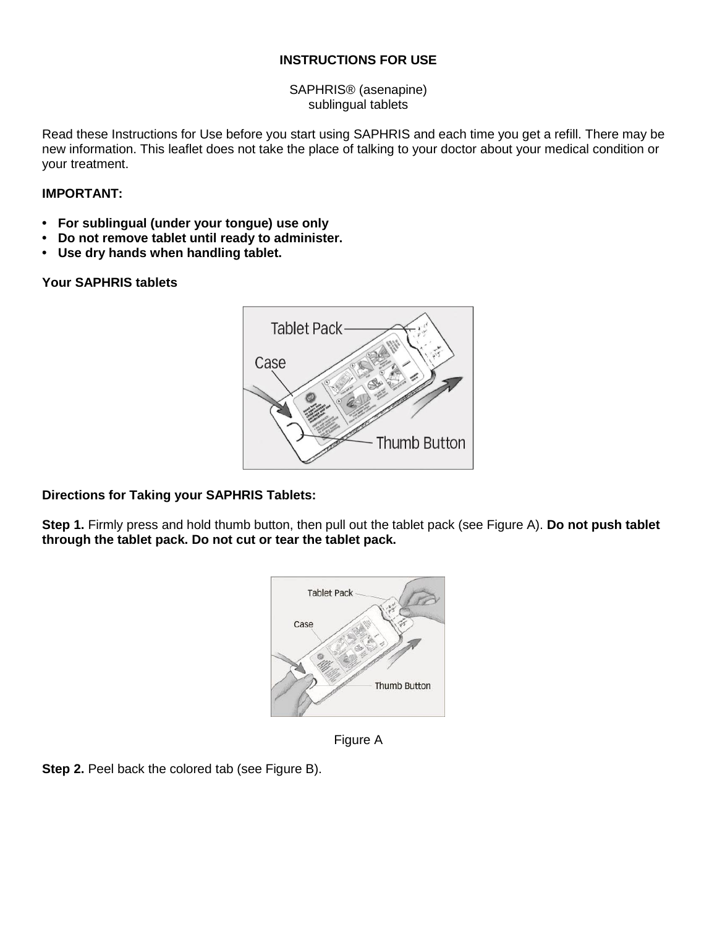# **INSTRUCTIONS FOR USE**

## SAPHRIS® (asenapine) sublingual tablets

Read these Instructions for Use before you start using SAPHRIS and each time you get a refill. There may be new information. This leaflet does not take the place of talking to your doctor about your medical condition or your treatment.

# **IMPORTANT:**

- **• For sublingual (under your tongue) use only**
- **• Do not remove tablet until ready to administer.**
- **• Use dry hands when handling tablet.**

## **Your SAPHRIS tablets**



# **Directions for Taking your SAPHRIS Tablets:**

**Step 1.** Firmly press and hold thumb button, then pull out the tablet pack (see Figure A). **Do not push tablet through the tablet pack. Do not cut or tear the tablet pack.**



Figure A

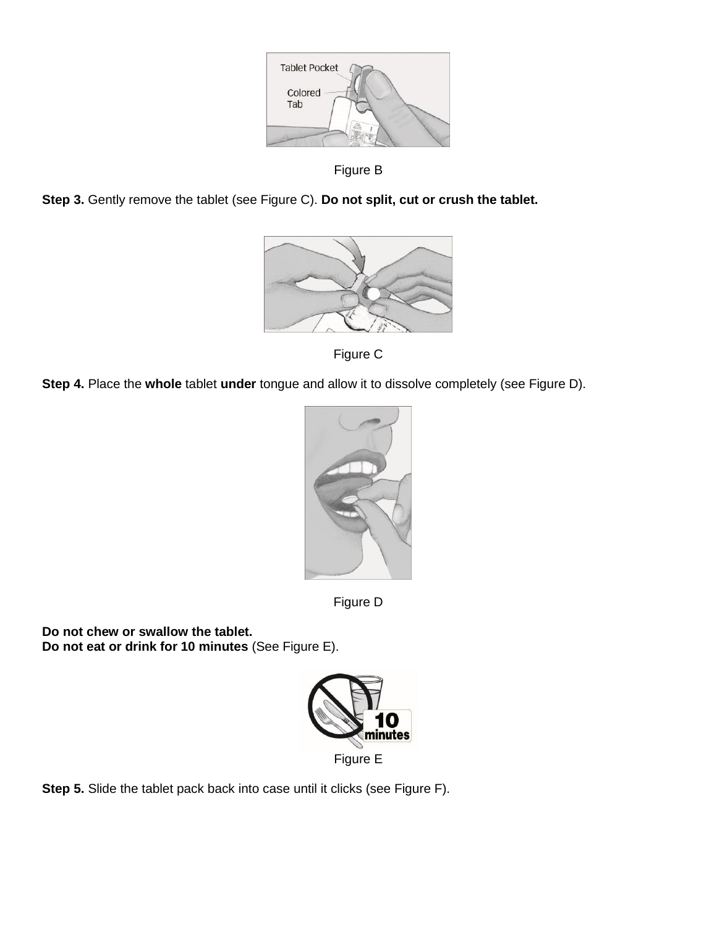

Figure B





Figure C

**Step 4.** Place the **whole** tablet **under** tongue and allow it to dissolve completely (see Figure D).





**Do not chew or swallow the tablet. Do not eat or drink for 10 minutes** (See Figure E).



**Step 5.** Slide the tablet pack back into case until it clicks (see Figure F).